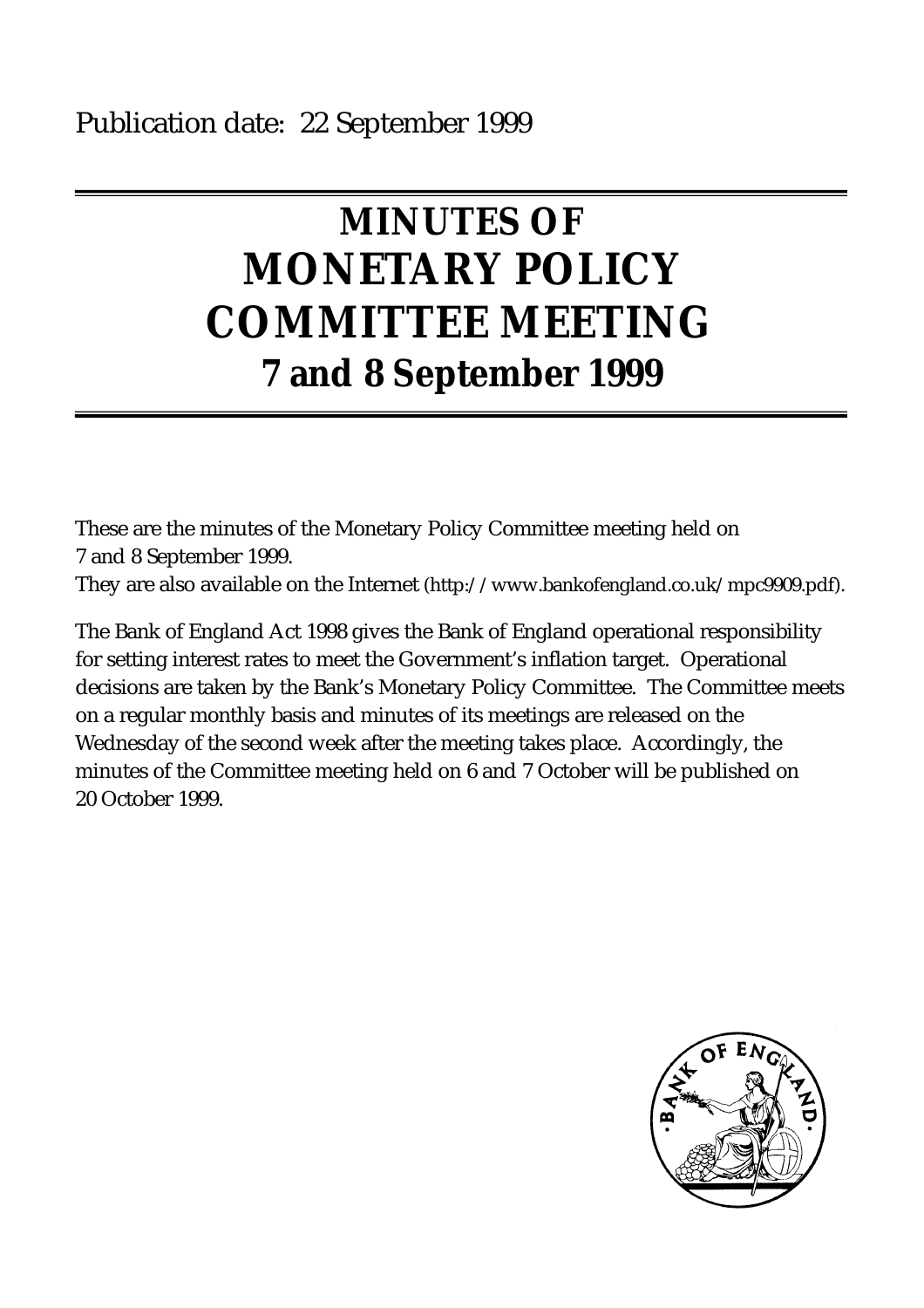# **MINUTES OF MONETARY POLICY COMMITTEE MEETING 7 and 8 September 1999**

These are the minutes of the Monetary Policy Committee meeting held on 7 and 8 September 1999.

They are also available on the Internet (http://www.bankofengland.co.uk/mpc9909.pdf).

The Bank of England Act 1998 gives the Bank of England operational responsibility for setting interest rates to meet the Government's inflation target. Operational decisions are taken by the Bank's Monetary Policy Committee. The Committee meets on a regular monthly basis and minutes of its meetings are released on the Wednesday of the second week after the meeting takes place. Accordingly, the minutes of the Committee meeting held on 6 and 7 October will be published on 20 October 1999.

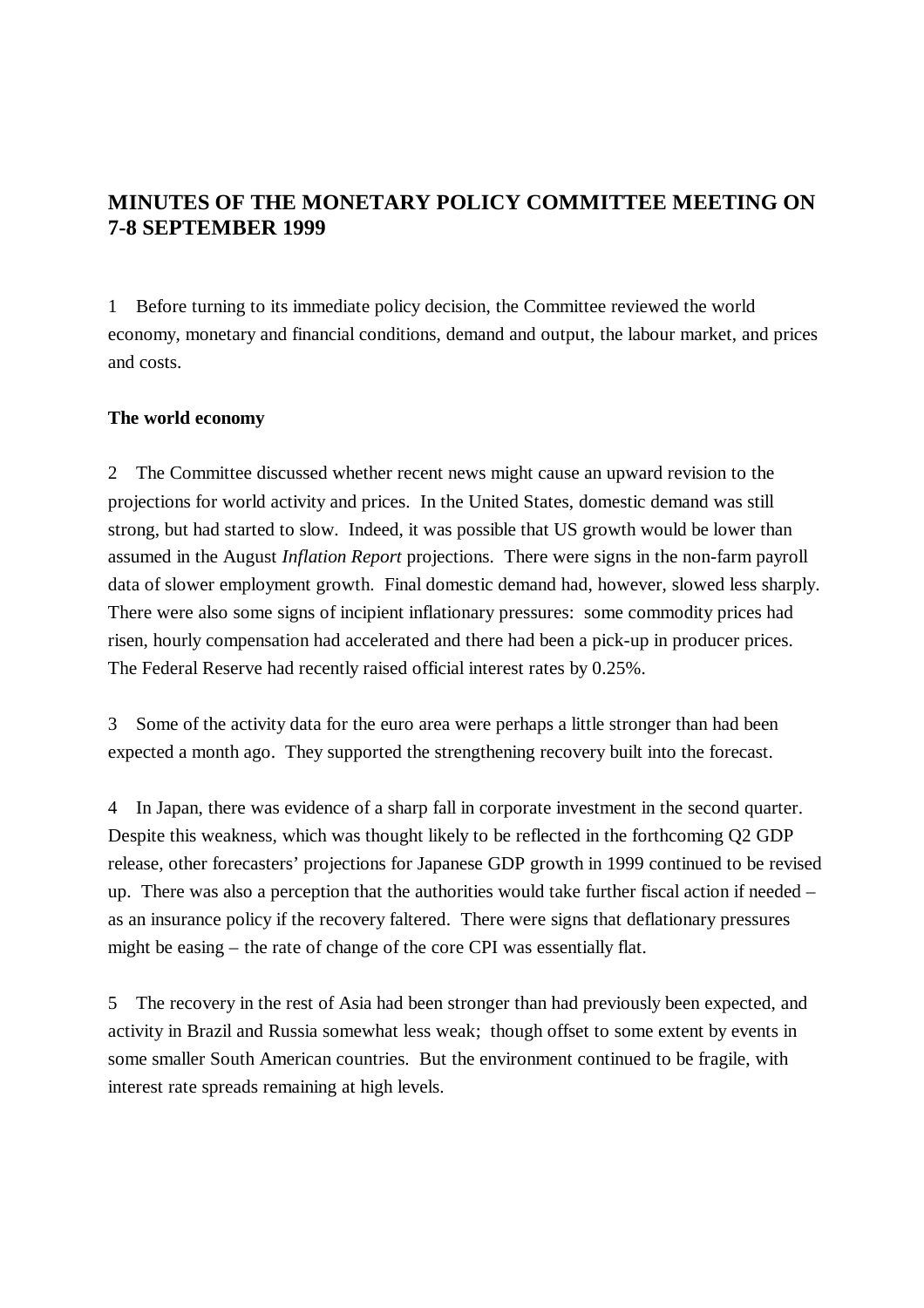## **MINUTES OF THE MONETARY POLICY COMMITTEE MEETING ON 7-8 SEPTEMBER 1999**

1 Before turning to its immediate policy decision, the Committee reviewed the world economy, monetary and financial conditions, demand and output, the labour market, and prices and costs.

## **The world economy**

2 The Committee discussed whether recent news might cause an upward revision to the projections for world activity and prices. In the United States, domestic demand was still strong, but had started to slow. Indeed, it was possible that US growth would be lower than assumed in the August *Inflation Report* projections. There were signs in the non-farm payroll data of slower employment growth. Final domestic demand had, however, slowed less sharply. There were also some signs of incipient inflationary pressures: some commodity prices had risen, hourly compensation had accelerated and there had been a pick-up in producer prices. The Federal Reserve had recently raised official interest rates by 0.25%.

3 Some of the activity data for the euro area were perhaps a little stronger than had been expected a month ago. They supported the strengthening recovery built into the forecast.

4 In Japan, there was evidence of a sharp fall in corporate investment in the second quarter. Despite this weakness, which was thought likely to be reflected in the forthcoming Q2 GDP release, other forecasters' projections for Japanese GDP growth in 1999 continued to be revised up. There was also a perception that the authorities would take further fiscal action if needed – as an insurance policy if the recovery faltered. There were signs that deflationary pressures might be easing – the rate of change of the core CPI was essentially flat.

5 The recovery in the rest of Asia had been stronger than had previously been expected, and activity in Brazil and Russia somewhat less weak; though offset to some extent by events in some smaller South American countries. But the environment continued to be fragile, with interest rate spreads remaining at high levels.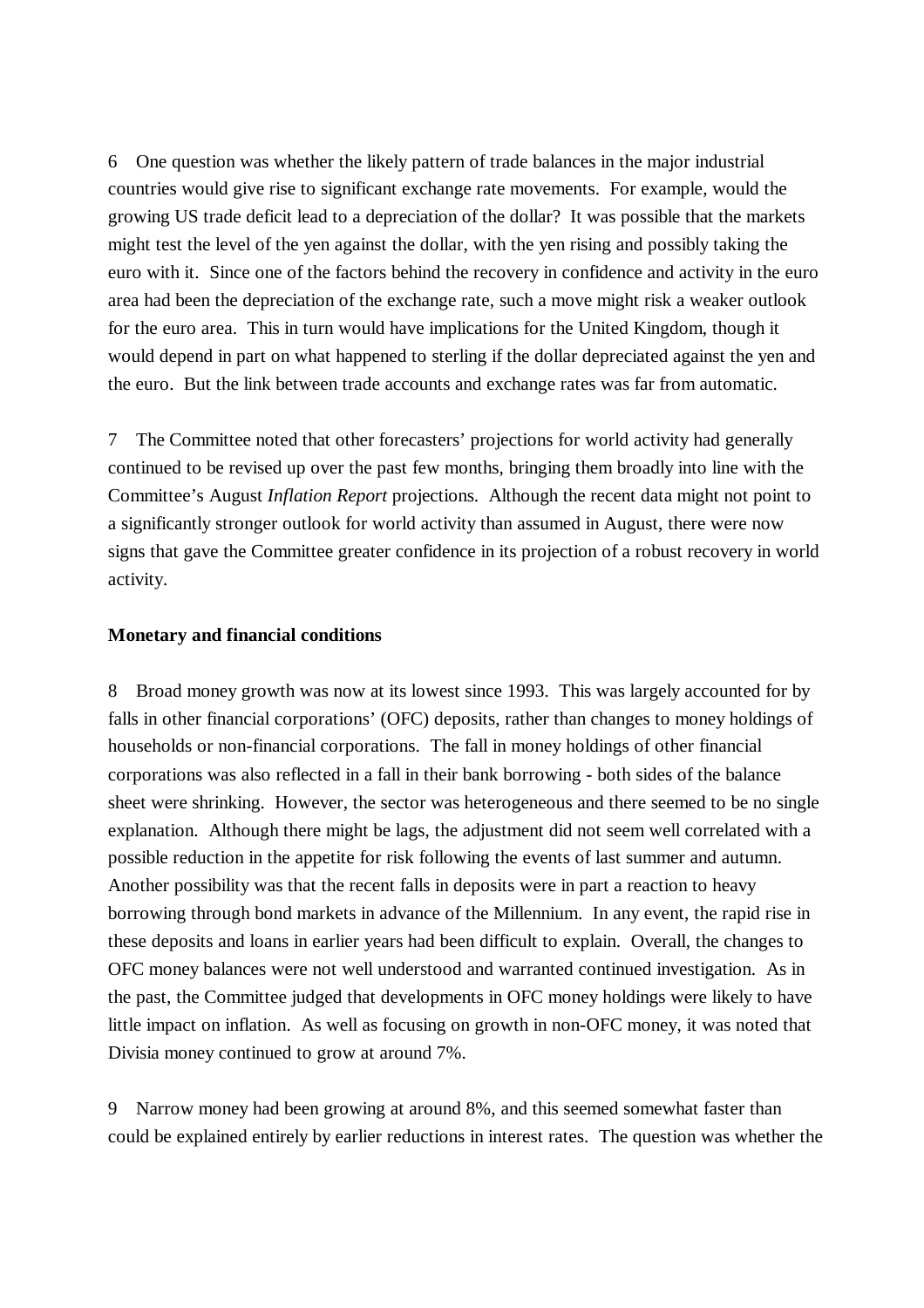6 One question was whether the likely pattern of trade balances in the major industrial countries would give rise to significant exchange rate movements. For example, would the growing US trade deficit lead to a depreciation of the dollar? It was possible that the markets might test the level of the yen against the dollar, with the yen rising and possibly taking the euro with it. Since one of the factors behind the recovery in confidence and activity in the euro area had been the depreciation of the exchange rate, such a move might risk a weaker outlook for the euro area. This in turn would have implications for the United Kingdom, though it would depend in part on what happened to sterling if the dollar depreciated against the yen and the euro. But the link between trade accounts and exchange rates was far from automatic.

7 The Committee noted that other forecasters' projections for world activity had generally continued to be revised up over the past few months, bringing them broadly into line with the Committee's August *Inflation Report* projections. Although the recent data might not point to a significantly stronger outlook for world activity than assumed in August, there were now signs that gave the Committee greater confidence in its projection of a robust recovery in world activity.

## **Monetary and financial conditions**

8 Broad money growth was now at its lowest since 1993. This was largely accounted for by falls in other financial corporations' (OFC) deposits, rather than changes to money holdings of households or non-financial corporations. The fall in money holdings of other financial corporations was also reflected in a fall in their bank borrowing - both sides of the balance sheet were shrinking. However, the sector was heterogeneous and there seemed to be no single explanation. Although there might be lags, the adjustment did not seem well correlated with a possible reduction in the appetite for risk following the events of last summer and autumn. Another possibility was that the recent falls in deposits were in part a reaction to heavy borrowing through bond markets in advance of the Millennium. In any event, the rapid rise in these deposits and loans in earlier years had been difficult to explain. Overall, the changes to OFC money balances were not well understood and warranted continued investigation. As in the past, the Committee judged that developments in OFC money holdings were likely to have little impact on inflation. As well as focusing on growth in non-OFC money, it was noted that Divisia money continued to grow at around 7%.

9 Narrow money had been growing at around 8%, and this seemed somewhat faster than could be explained entirely by earlier reductions in interest rates. The question was whether the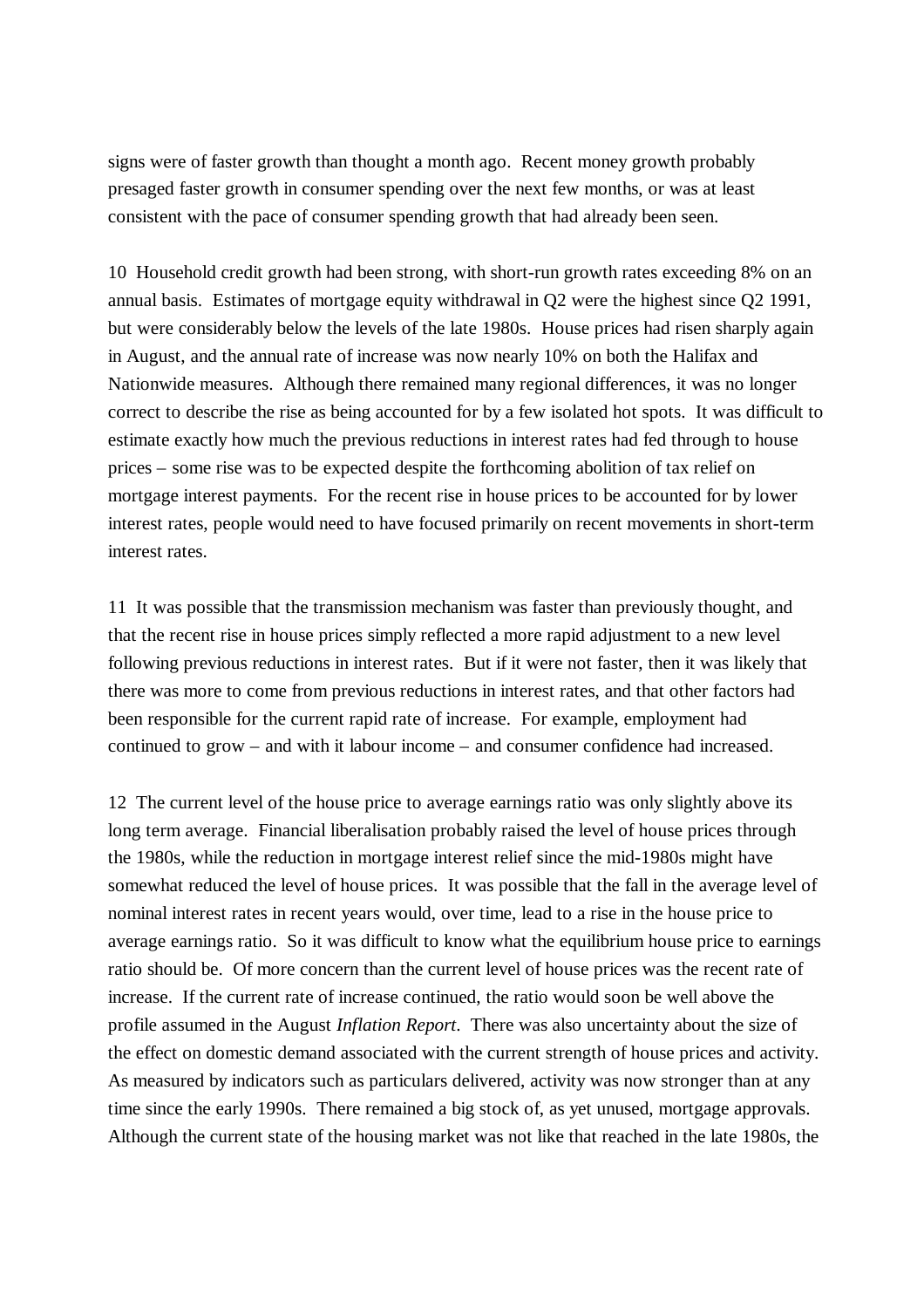signs were of faster growth than thought a month ago. Recent money growth probably presaged faster growth in consumer spending over the next few months, or was at least consistent with the pace of consumer spending growth that had already been seen.

10 Household credit growth had been strong, with short-run growth rates exceeding 8% on an annual basis. Estimates of mortgage equity withdrawal in Q2 were the highest since Q2 1991, but were considerably below the levels of the late 1980s. House prices had risen sharply again in August, and the annual rate of increase was now nearly 10% on both the Halifax and Nationwide measures. Although there remained many regional differences, it was no longer correct to describe the rise as being accounted for by a few isolated hot spots. It was difficult to estimate exactly how much the previous reductions in interest rates had fed through to house prices – some rise was to be expected despite the forthcoming abolition of tax relief on mortgage interest payments. For the recent rise in house prices to be accounted for by lower interest rates, people would need to have focused primarily on recent movements in short-term interest rates.

11 It was possible that the transmission mechanism was faster than previously thought, and that the recent rise in house prices simply reflected a more rapid adjustment to a new level following previous reductions in interest rates. But if it were not faster, then it was likely that there was more to come from previous reductions in interest rates, and that other factors had been responsible for the current rapid rate of increase. For example, employment had continued to grow – and with it labour income – and consumer confidence had increased.

12 The current level of the house price to average earnings ratio was only slightly above its long term average. Financial liberalisation probably raised the level of house prices through the 1980s, while the reduction in mortgage interest relief since the mid-1980s might have somewhat reduced the level of house prices. It was possible that the fall in the average level of nominal interest rates in recent years would, over time, lead to a rise in the house price to average earnings ratio. So it was difficult to know what the equilibrium house price to earnings ratio should be. Of more concern than the current level of house prices was the recent rate of increase. If the current rate of increase continued, the ratio would soon be well above the profile assumed in the August *Inflation Report*. There was also uncertainty about the size of the effect on domestic demand associated with the current strength of house prices and activity. As measured by indicators such as particulars delivered, activity was now stronger than at any time since the early 1990s. There remained a big stock of, as yet unused, mortgage approvals. Although the current state of the housing market was not like that reached in the late 1980s, the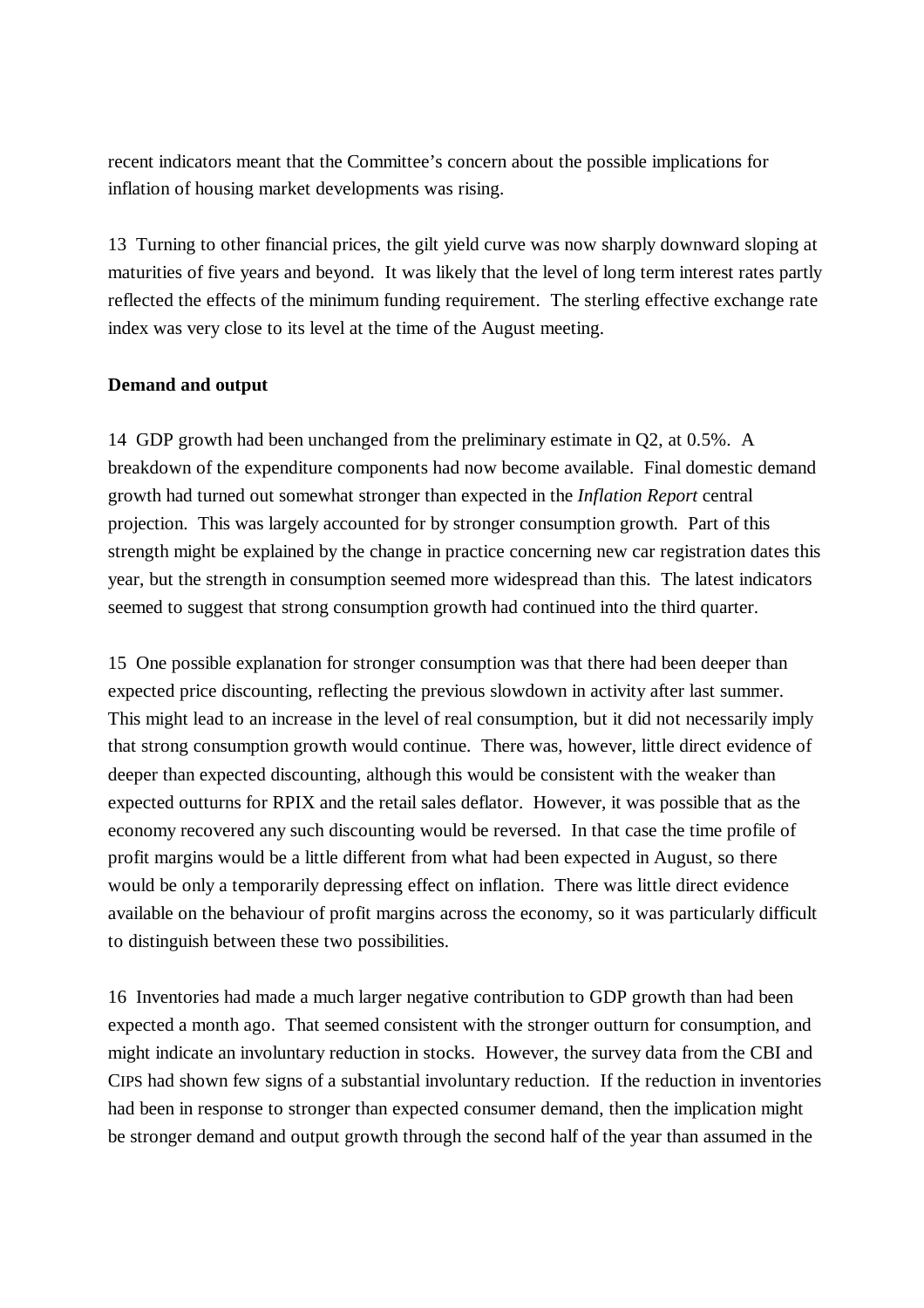recent indicators meant that the Committee's concern about the possible implications for inflation of housing market developments was rising.

13 Turning to other financial prices, the gilt yield curve was now sharply downward sloping at maturities of five years and beyond. It was likely that the level of long term interest rates partly reflected the effects of the minimum funding requirement. The sterling effective exchange rate index was very close to its level at the time of the August meeting.

## **Demand and output**

14 GDP growth had been unchanged from the preliminary estimate in Q2, at 0.5%. A breakdown of the expenditure components had now become available. Final domestic demand growth had turned out somewhat stronger than expected in the *Inflation Report* central projection. This was largely accounted for by stronger consumption growth. Part of this strength might be explained by the change in practice concerning new car registration dates this year, but the strength in consumption seemed more widespread than this. The latest indicators seemed to suggest that strong consumption growth had continued into the third quarter.

15 One possible explanation for stronger consumption was that there had been deeper than expected price discounting, reflecting the previous slowdown in activity after last summer. This might lead to an increase in the level of real consumption, but it did not necessarily imply that strong consumption growth would continue. There was, however, little direct evidence of deeper than expected discounting, although this would be consistent with the weaker than expected outturns for RPIX and the retail sales deflator. However, it was possible that as the economy recovered any such discounting would be reversed. In that case the time profile of profit margins would be a little different from what had been expected in August, so there would be only a temporarily depressing effect on inflation. There was little direct evidence available on the behaviour of profit margins across the economy, so it was particularly difficult to distinguish between these two possibilities.

16 Inventories had made a much larger negative contribution to GDP growth than had been expected a month ago. That seemed consistent with the stronger outturn for consumption, and might indicate an involuntary reduction in stocks. However, the survey data from the CBI and CIPS had shown few signs of a substantial involuntary reduction. If the reduction in inventories had been in response to stronger than expected consumer demand, then the implication might be stronger demand and output growth through the second half of the year than assumed in the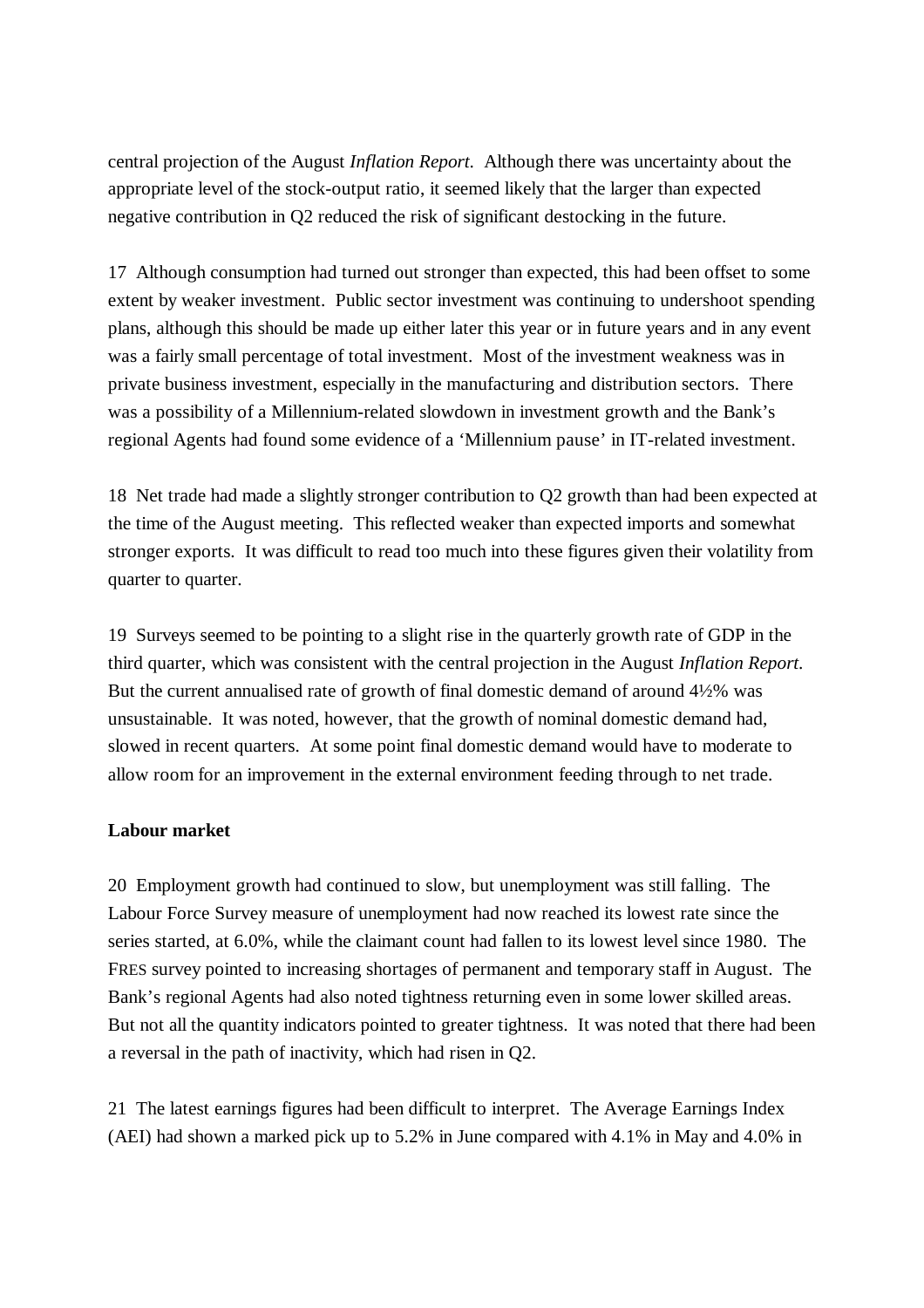central projection of the August *Inflation Report*. Although there was uncertainty about the appropriate level of the stock-output ratio, it seemed likely that the larger than expected negative contribution in Q2 reduced the risk of significant destocking in the future.

17 Although consumption had turned out stronger than expected, this had been offset to some extent by weaker investment. Public sector investment was continuing to undershoot spending plans, although this should be made up either later this year or in future years and in any event was a fairly small percentage of total investment. Most of the investment weakness was in private business investment, especially in the manufacturing and distribution sectors. There was a possibility of a Millennium-related slowdown in investment growth and the Bank's regional Agents had found some evidence of a 'Millennium pause' in IT-related investment.

18 Net trade had made a slightly stronger contribution to Q2 growth than had been expected at the time of the August meeting. This reflected weaker than expected imports and somewhat stronger exports. It was difficult to read too much into these figures given their volatility from quarter to quarter.

19 Surveys seemed to be pointing to a slight rise in the quarterly growth rate of GDP in the third quarter, which was consistent with the central projection in the August *Inflation Report*. But the current annualised rate of growth of final domestic demand of around 4½% was unsustainable. It was noted, however, that the growth of nominal domestic demand had, slowed in recent quarters. At some point final domestic demand would have to moderate to allow room for an improvement in the external environment feeding through to net trade.

## **Labour market**

20 Employment growth had continued to slow, but unemployment was still falling. The Labour Force Survey measure of unemployment had now reached its lowest rate since the series started, at 6.0%, while the claimant count had fallen to its lowest level since 1980. The FRES survey pointed to increasing shortages of permanent and temporary staff in August. The Bank's regional Agents had also noted tightness returning even in some lower skilled areas. But not all the quantity indicators pointed to greater tightness. It was noted that there had been a reversal in the path of inactivity, which had risen in Q2.

21 The latest earnings figures had been difficult to interpret. The Average Earnings Index (AEI) had shown a marked pick up to 5.2% in June compared with 4.1% in May and 4.0% in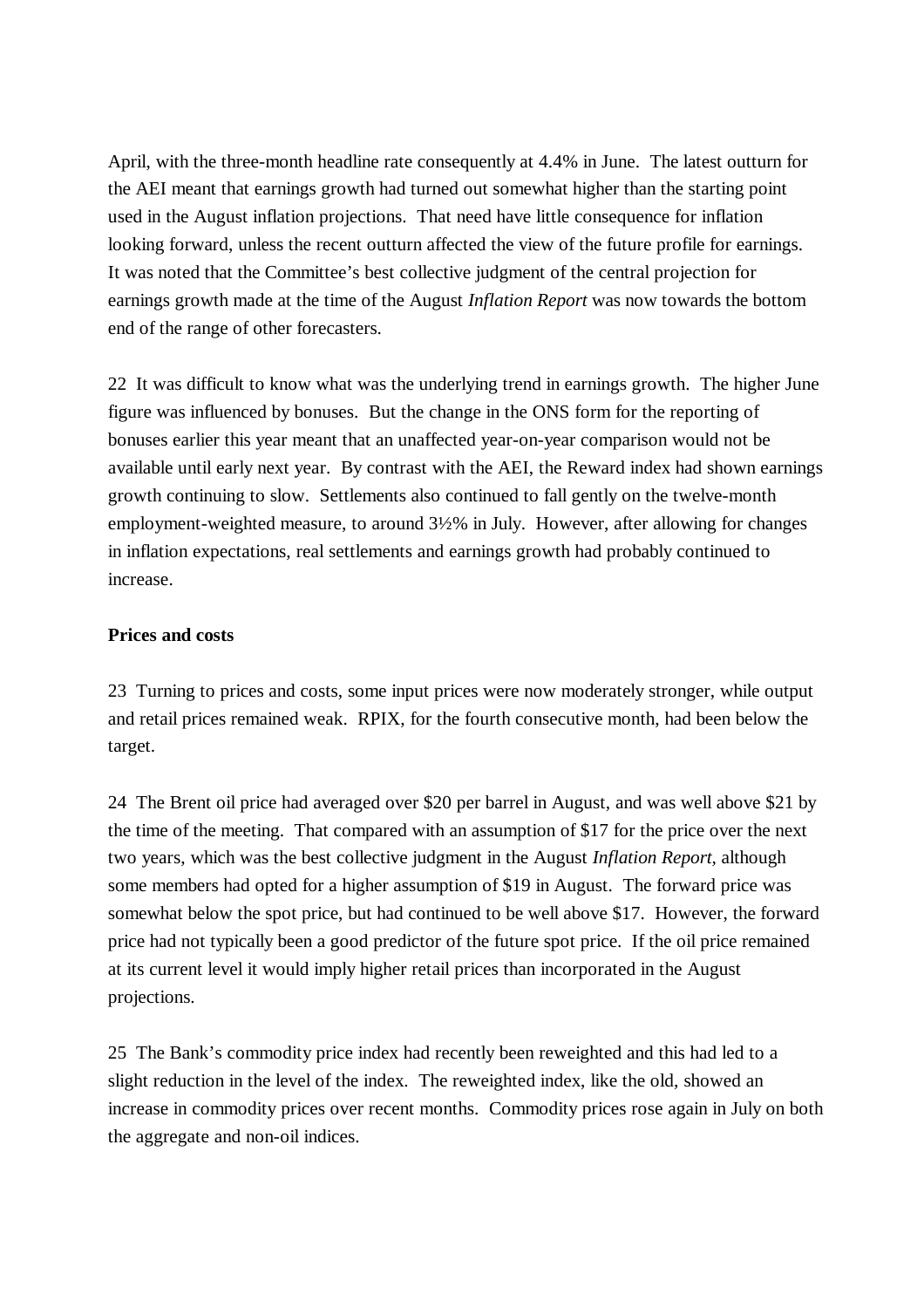April, with the three-month headline rate consequently at 4.4% in June. The latest outturn for the AEI meant that earnings growth had turned out somewhat higher than the starting point used in the August inflation projections. That need have little consequence for inflation looking forward, unless the recent outturn affected the view of the future profile for earnings. It was noted that the Committee's best collective judgment of the central projection for earnings growth made at the time of the August *Inflation Report* was now towards the bottom end of the range of other forecasters.

22 It was difficult to know what was the underlying trend in earnings growth. The higher June figure was influenced by bonuses. But the change in the ONS form for the reporting of bonuses earlier this year meant that an unaffected year-on-year comparison would not be available until early next year. By contrast with the AEI, the Reward index had shown earnings growth continuing to slow. Settlements also continued to fall gently on the twelve-month employment-weighted measure, to around 3½% in July. However, after allowing for changes in inflation expectations, real settlements and earnings growth had probably continued to increase.

## **Prices and costs**

23 Turning to prices and costs, some input prices were now moderately stronger, while output and retail prices remained weak. RPIX, for the fourth consecutive month, had been below the target.

24 The Brent oil price had averaged over \$20 per barrel in August, and was well above \$21 by the time of the meeting. That compared with an assumption of \$17 for the price over the next two years, which was the best collective judgment in the August *Inflation Report,* although some members had opted for a higher assumption of \$19 in August. The forward price was somewhat below the spot price, but had continued to be well above \$17. However, the forward price had not typically been a good predictor of the future spot price. If the oil price remained at its current level it would imply higher retail prices than incorporated in the August projections.

25 The Bank's commodity price index had recently been reweighted and this had led to a slight reduction in the level of the index. The reweighted index, like the old, showed an increase in commodity prices over recent months. Commodity prices rose again in July on both the aggregate and non-oil indices.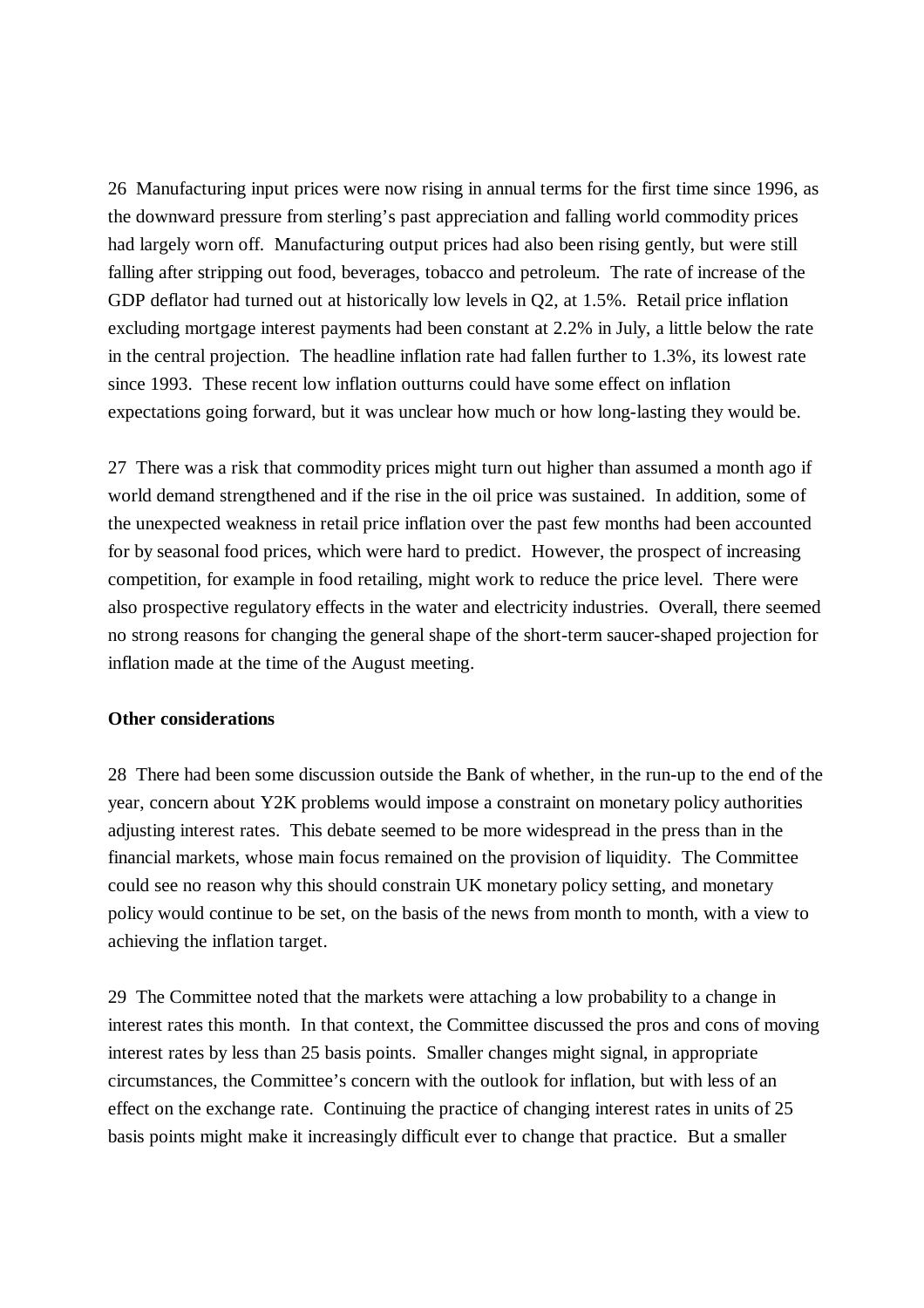26 Manufacturing input prices were now rising in annual terms for the first time since 1996, as the downward pressure from sterling's past appreciation and falling world commodity prices had largely worn off. Manufacturing output prices had also been rising gently, but were still falling after stripping out food, beverages, tobacco and petroleum. The rate of increase of the GDP deflator had turned out at historically low levels in Q2, at 1.5%. Retail price inflation excluding mortgage interest payments had been constant at 2.2% in July, a little below the rate in the central projection. The headline inflation rate had fallen further to 1.3%, its lowest rate since 1993. These recent low inflation outturns could have some effect on inflation expectations going forward, but it was unclear how much or how long-lasting they would be.

27 There was a risk that commodity prices might turn out higher than assumed a month ago if world demand strengthened and if the rise in the oil price was sustained. In addition, some of the unexpected weakness in retail price inflation over the past few months had been accounted for by seasonal food prices, which were hard to predict. However, the prospect of increasing competition, for example in food retailing, might work to reduce the price level. There were also prospective regulatory effects in the water and electricity industries. Overall, there seemed no strong reasons for changing the general shape of the short-term saucer-shaped projection for inflation made at the time of the August meeting.

#### **Other considerations**

28 There had been some discussion outside the Bank of whether, in the run-up to the end of the year, concern about Y2K problems would impose a constraint on monetary policy authorities adjusting interest rates. This debate seemed to be more widespread in the press than in the financial markets, whose main focus remained on the provision of liquidity. The Committee could see no reason why this should constrain UK monetary policy setting, and monetary policy would continue to be set, on the basis of the news from month to month, with a view to achieving the inflation target.

29 The Committee noted that the markets were attaching a low probability to a change in interest rates this month. In that context, the Committee discussed the pros and cons of moving interest rates by less than 25 basis points. Smaller changes might signal, in appropriate circumstances, the Committee's concern with the outlook for inflation, but with less of an effect on the exchange rate. Continuing the practice of changing interest rates in units of 25 basis points might make it increasingly difficult ever to change that practice. But a smaller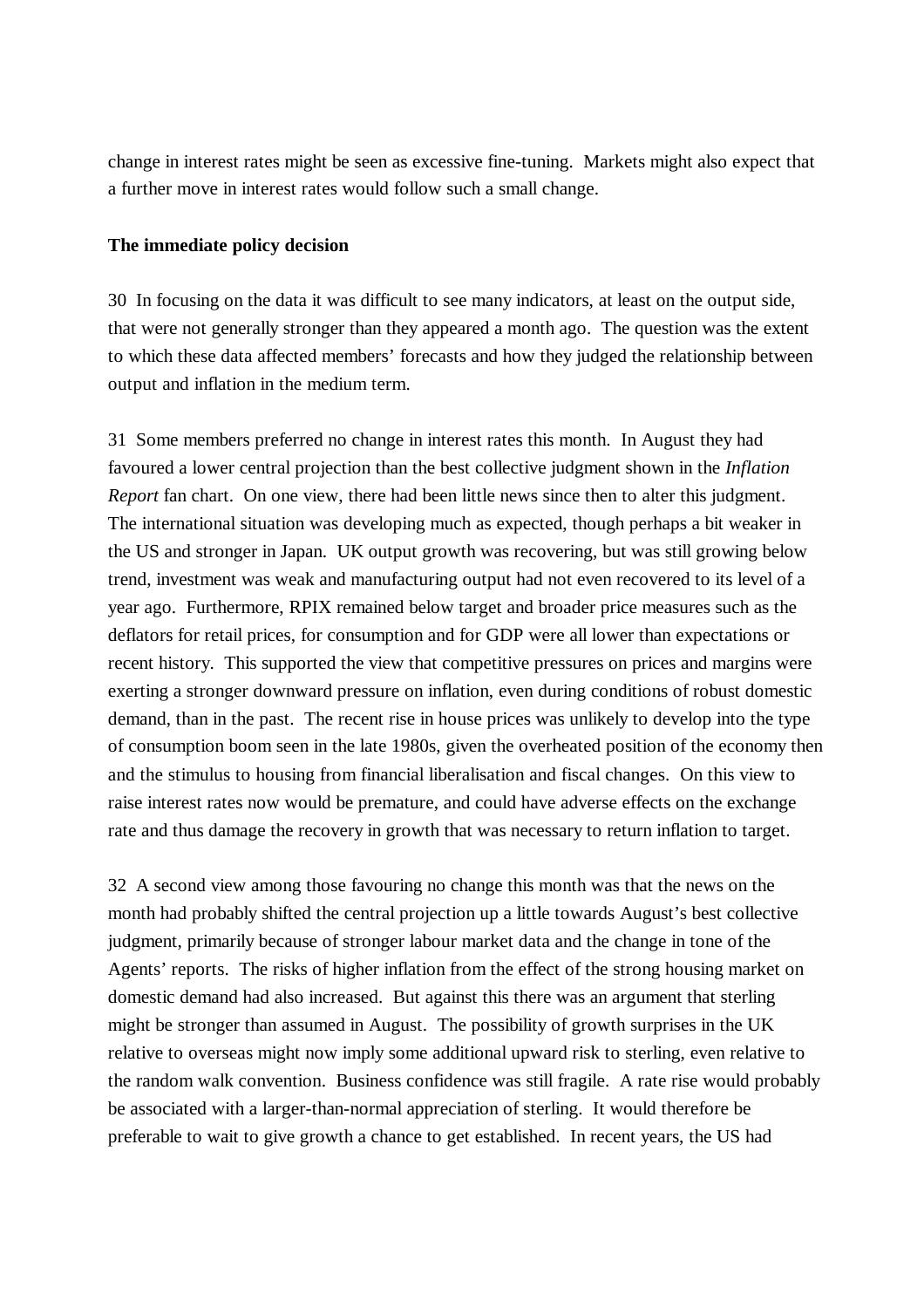change in interest rates might be seen as excessive fine-tuning. Markets might also expect that a further move in interest rates would follow such a small change.

## **The immediate policy decision**

30 In focusing on the data it was difficult to see many indicators, at least on the output side, that were not generally stronger than they appeared a month ago. The question was the extent to which these data affected members' forecasts and how they judged the relationship between output and inflation in the medium term.

31 Some members preferred no change in interest rates this month. In August they had favoured a lower central projection than the best collective judgment shown in the *Inflation Report* fan chart. On one view, there had been little news since then to alter this judgment. The international situation was developing much as expected, though perhaps a bit weaker in the US and stronger in Japan. UK output growth was recovering, but was still growing below trend, investment was weak and manufacturing output had not even recovered to its level of a year ago. Furthermore, RPIX remained below target and broader price measures such as the deflators for retail prices, for consumption and for GDP were all lower than expectations or recent history. This supported the view that competitive pressures on prices and margins were exerting a stronger downward pressure on inflation, even during conditions of robust domestic demand, than in the past. The recent rise in house prices was unlikely to develop into the type of consumption boom seen in the late 1980s, given the overheated position of the economy then and the stimulus to housing from financial liberalisation and fiscal changes. On this view to raise interest rates now would be premature, and could have adverse effects on the exchange rate and thus damage the recovery in growth that was necessary to return inflation to target.

32 A second view among those favouring no change this month was that the news on the month had probably shifted the central projection up a little towards August's best collective judgment, primarily because of stronger labour market data and the change in tone of the Agents' reports. The risks of higher inflation from the effect of the strong housing market on domestic demand had also increased. But against this there was an argument that sterling might be stronger than assumed in August. The possibility of growth surprises in the UK relative to overseas might now imply some additional upward risk to sterling, even relative to the random walk convention. Business confidence was still fragile. A rate rise would probably be associated with a larger-than-normal appreciation of sterling. It would therefore be preferable to wait to give growth a chance to get established. In recent years, the US had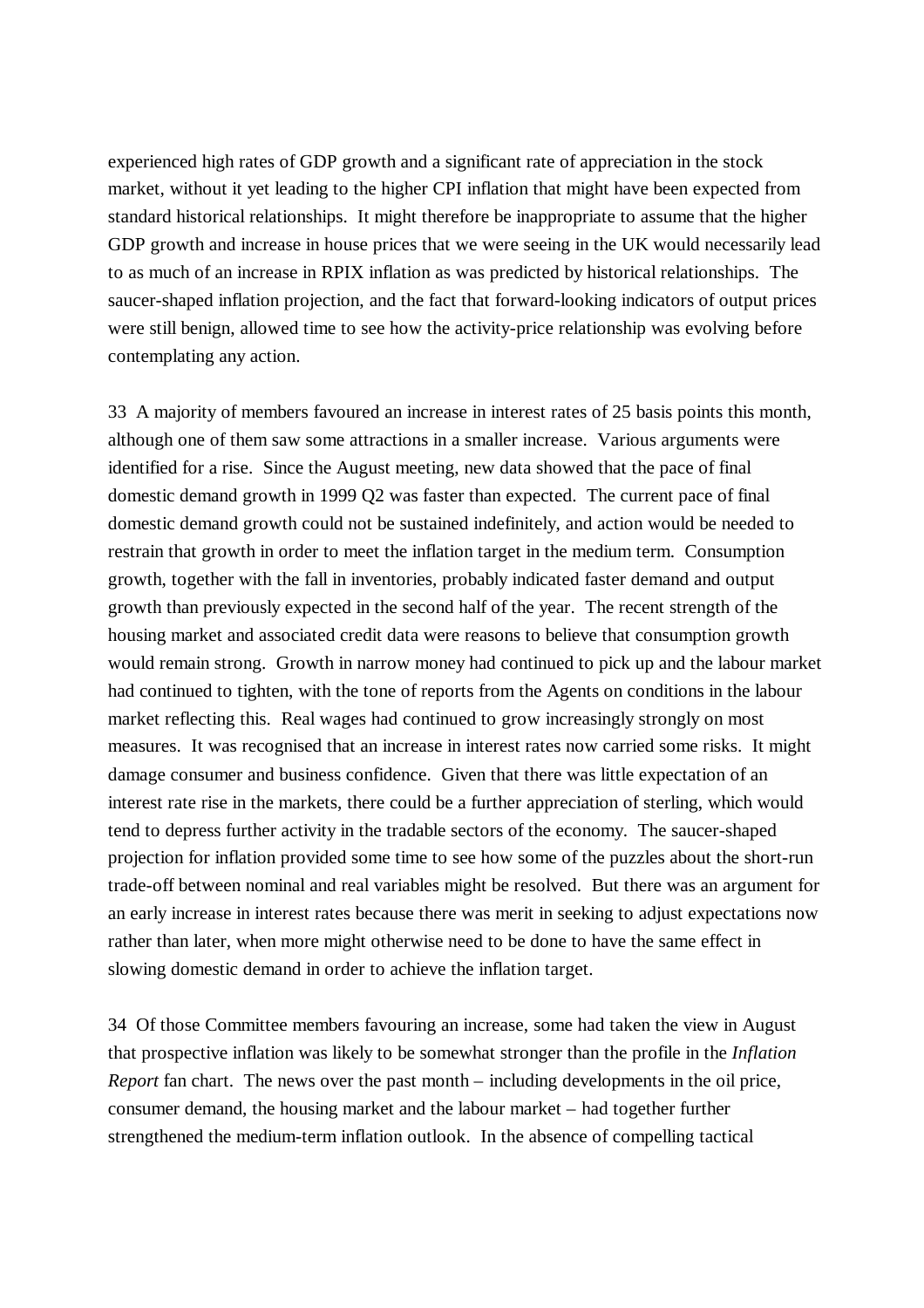experienced high rates of GDP growth and a significant rate of appreciation in the stock market, without it yet leading to the higher CPI inflation that might have been expected from standard historical relationships. It might therefore be inappropriate to assume that the higher GDP growth and increase in house prices that we were seeing in the UK would necessarily lead to as much of an increase in RPIX inflation as was predicted by historical relationships. The saucer-shaped inflation projection, and the fact that forward-looking indicators of output prices were still benign, allowed time to see how the activity-price relationship was evolving before contemplating any action.

33 A majority of members favoured an increase in interest rates of 25 basis points this month, although one of them saw some attractions in a smaller increase. Various arguments were identified for a rise. Since the August meeting, new data showed that the pace of final domestic demand growth in 1999 Q2 was faster than expected. The current pace of final domestic demand growth could not be sustained indefinitely, and action would be needed to restrain that growth in order to meet the inflation target in the medium term. Consumption growth, together with the fall in inventories, probably indicated faster demand and output growth than previously expected in the second half of the year. The recent strength of the housing market and associated credit data were reasons to believe that consumption growth would remain strong. Growth in narrow money had continued to pick up and the labour market had continued to tighten, with the tone of reports from the Agents on conditions in the labour market reflecting this. Real wages had continued to grow increasingly strongly on most measures. It was recognised that an increase in interest rates now carried some risks. It might damage consumer and business confidence. Given that there was little expectation of an interest rate rise in the markets, there could be a further appreciation of sterling, which would tend to depress further activity in the tradable sectors of the economy. The saucer-shaped projection for inflation provided some time to see how some of the puzzles about the short-run trade-off between nominal and real variables might be resolved. But there was an argument for an early increase in interest rates because there was merit in seeking to adjust expectations now rather than later, when more might otherwise need to be done to have the same effect in slowing domestic demand in order to achieve the inflation target.

34 Of those Committee members favouring an increase, some had taken the view in August that prospective inflation was likely to be somewhat stronger than the profile in the *Inflation Report* fan chart. The news over the past month – including developments in the oil price, consumer demand, the housing market and the labour market – had together further strengthened the medium-term inflation outlook. In the absence of compelling tactical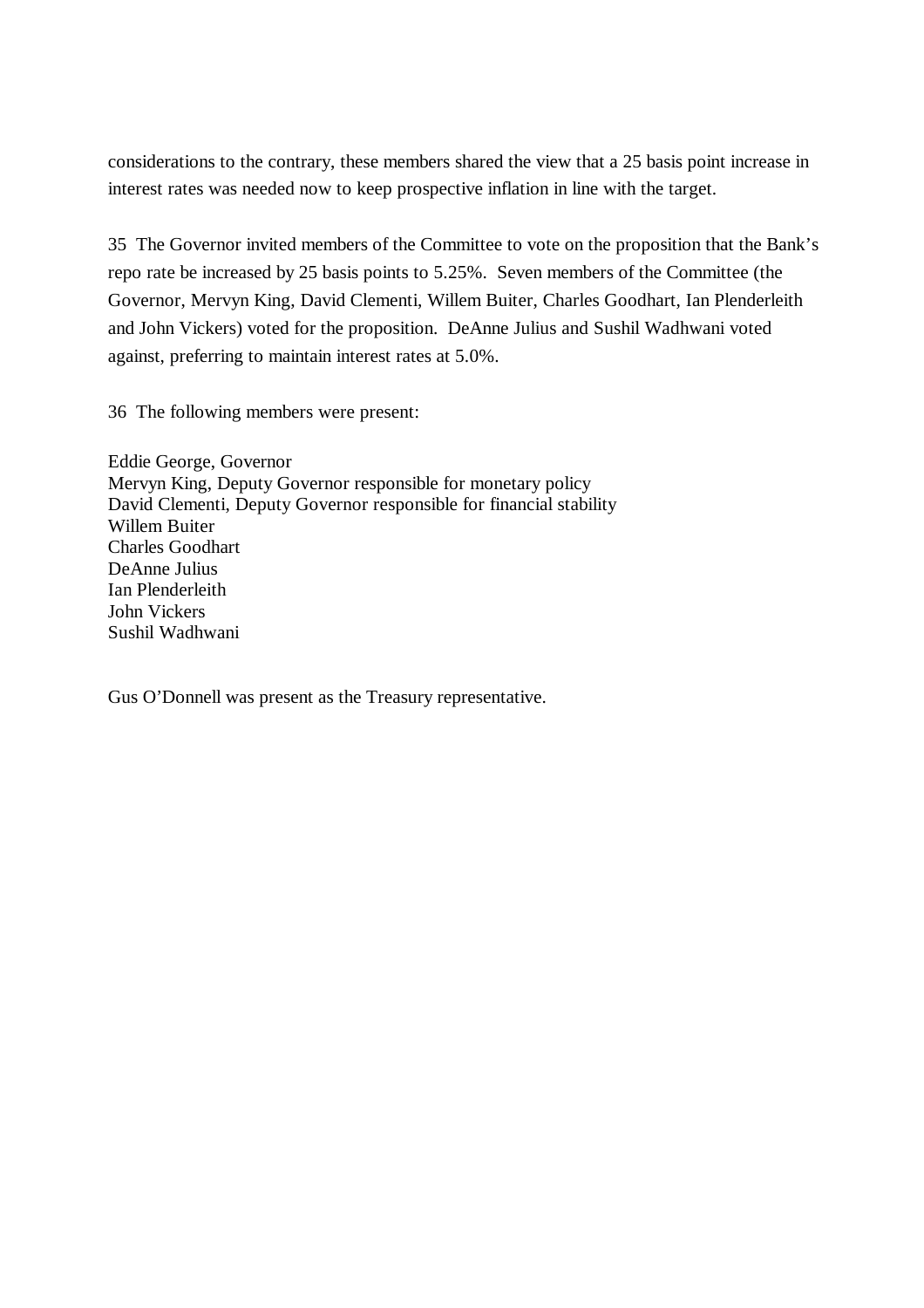considerations to the contrary, these members shared the view that a 25 basis point increase in interest rates was needed now to keep prospective inflation in line with the target.

35 The Governor invited members of the Committee to vote on the proposition that the Bank's repo rate be increased by 25 basis points to 5.25%. Seven members of the Committee (the Governor, Mervyn King, David Clementi, Willem Buiter, Charles Goodhart, Ian Plenderleith and John Vickers) voted for the proposition. DeAnne Julius and Sushil Wadhwani voted against, preferring to maintain interest rates at 5.0%.

36 The following members were present:

Eddie George, Governor Mervyn King, Deputy Governor responsible for monetary policy David Clementi, Deputy Governor responsible for financial stability Willem Buiter Charles Goodhart DeAnne Julius Ian Plenderleith John Vickers Sushil Wadhwani

Gus O'Donnell was present as the Treasury representative.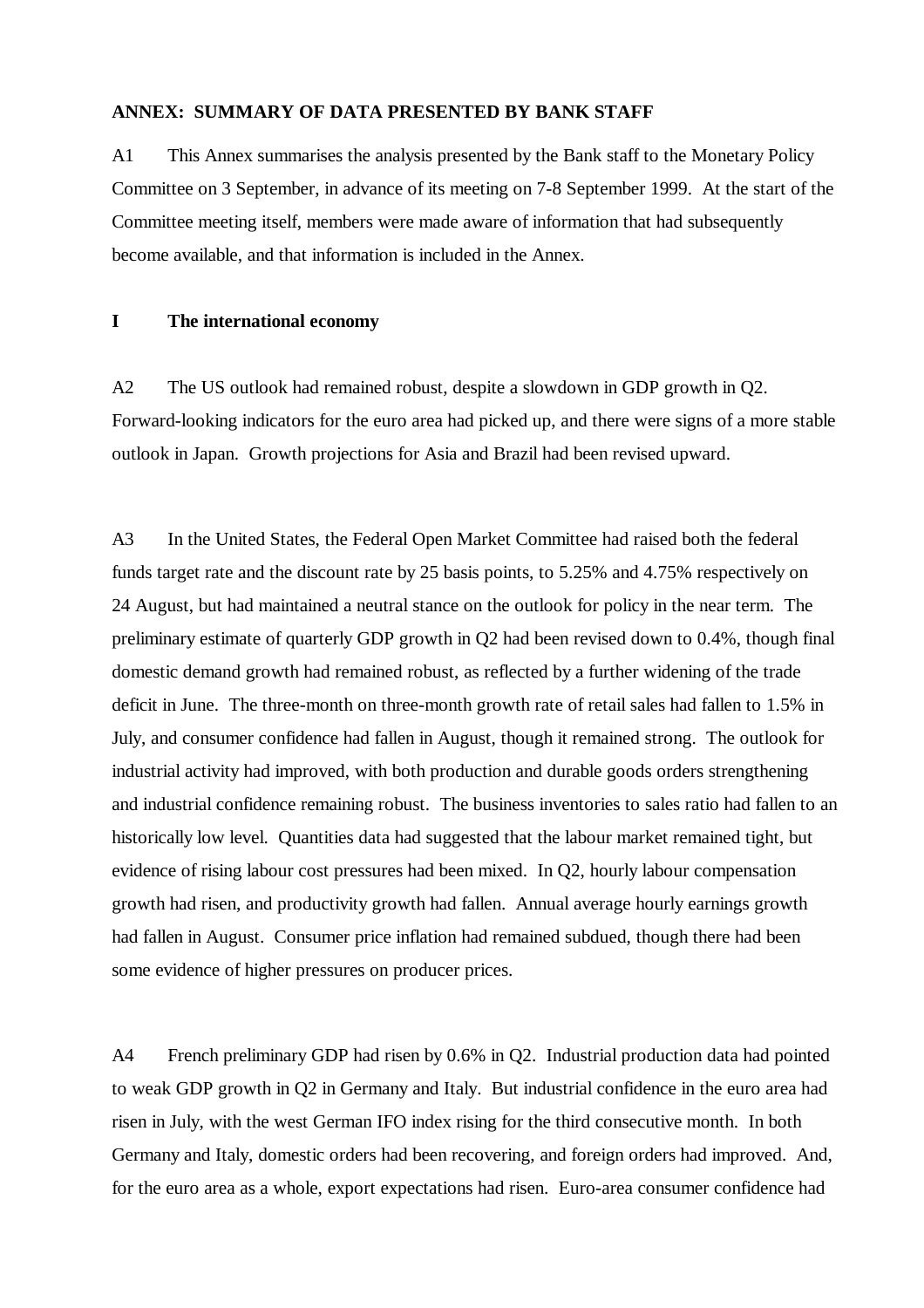#### **ANNEX: SUMMARY OF DATA PRESENTED BY BANK STAFF**

A1 This Annex summarises the analysis presented by the Bank staff to the Monetary Policy Committee on 3 September, in advance of its meeting on 7-8 September 1999. At the start of the Committee meeting itself, members were made aware of information that had subsequently become available, and that information is included in the Annex.

#### **I The international economy**

A2 The US outlook had remained robust, despite a slowdown in GDP growth in Q2. Forward-looking indicators for the euro area had picked up, and there were signs of a more stable outlook in Japan. Growth projections for Asia and Brazil had been revised upward.

A3 In the United States, the Federal Open Market Committee had raised both the federal funds target rate and the discount rate by 25 basis points, to 5.25% and 4.75% respectively on 24 August, but had maintained a neutral stance on the outlook for policy in the near term. The preliminary estimate of quarterly GDP growth in Q2 had been revised down to 0.4%, though final domestic demand growth had remained robust, as reflected by a further widening of the trade deficit in June. The three-month on three-month growth rate of retail sales had fallen to 1.5% in July, and consumer confidence had fallen in August, though it remained strong. The outlook for industrial activity had improved, with both production and durable goods orders strengthening and industrial confidence remaining robust. The business inventories to sales ratio had fallen to an historically low level. Quantities data had suggested that the labour market remained tight, but evidence of rising labour cost pressures had been mixed. In Q2, hourly labour compensation growth had risen, and productivity growth had fallen. Annual average hourly earnings growth had fallen in August. Consumer price inflation had remained subdued, though there had been some evidence of higher pressures on producer prices.

A4 French preliminary GDP had risen by 0.6% in Q2. Industrial production data had pointed to weak GDP growth in Q2 in Germany and Italy. But industrial confidence in the euro area had risen in July, with the west German IFO index rising for the third consecutive month. In both Germany and Italy, domestic orders had been recovering, and foreign orders had improved. And, for the euro area as a whole, export expectations had risen. Euro-area consumer confidence had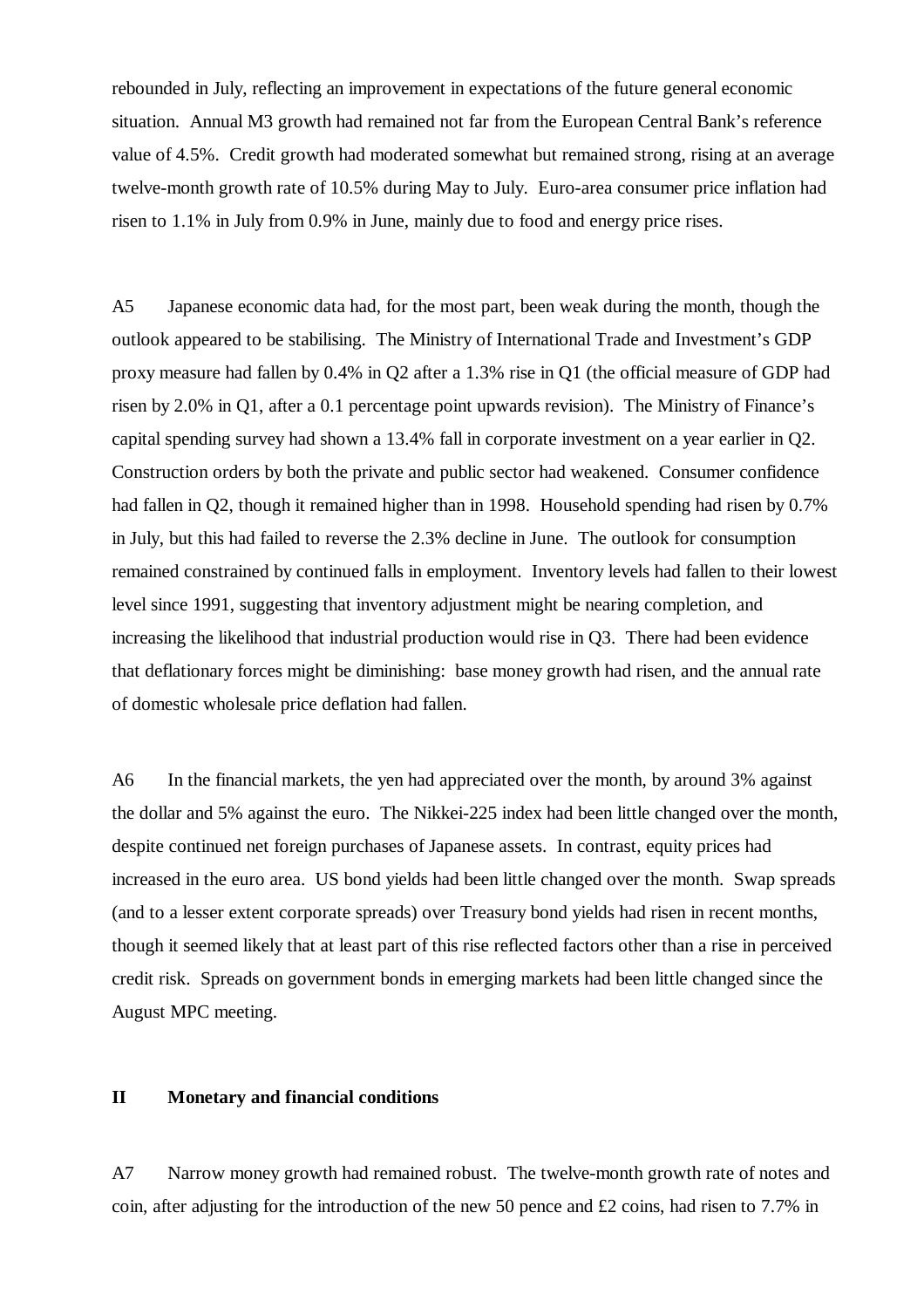rebounded in July, reflecting an improvement in expectations of the future general economic situation. Annual M3 growth had remained not far from the European Central Bank's reference value of 4.5%. Credit growth had moderated somewhat but remained strong, rising at an average twelve-month growth rate of 10.5% during May to July. Euro-area consumer price inflation had risen to 1.1% in July from 0.9% in June, mainly due to food and energy price rises.

A5 Japanese economic data had, for the most part, been weak during the month, though the outlook appeared to be stabilising. The Ministry of International Trade and Investment's GDP proxy measure had fallen by 0.4% in Q2 after a 1.3% rise in Q1 (the official measure of GDP had risen by 2.0% in Q1, after a 0.1 percentage point upwards revision). The Ministry of Finance's capital spending survey had shown a 13.4% fall in corporate investment on a year earlier in Q2. Construction orders by both the private and public sector had weakened. Consumer confidence had fallen in Q2, though it remained higher than in 1998. Household spending had risen by 0.7% in July, but this had failed to reverse the 2.3% decline in June. The outlook for consumption remained constrained by continued falls in employment. Inventory levels had fallen to their lowest level since 1991, suggesting that inventory adjustment might be nearing completion, and increasing the likelihood that industrial production would rise in Q3. There had been evidence that deflationary forces might be diminishing: base money growth had risen, and the annual rate of domestic wholesale price deflation had fallen.

A6 In the financial markets, the yen had appreciated over the month, by around 3% against the dollar and 5% against the euro. The Nikkei-225 index had been little changed over the month, despite continued net foreign purchases of Japanese assets. In contrast, equity prices had increased in the euro area. US bond yields had been little changed over the month. Swap spreads (and to a lesser extent corporate spreads) over Treasury bond yields had risen in recent months, though it seemed likely that at least part of this rise reflected factors other than a rise in perceived credit risk. Spreads on government bonds in emerging markets had been little changed since the August MPC meeting.

## **II Monetary and financial conditions**

A7 Narrow money growth had remained robust. The twelve-month growth rate of notes and coin, after adjusting for the introduction of the new 50 pence and £2 coins, had risen to 7.7% in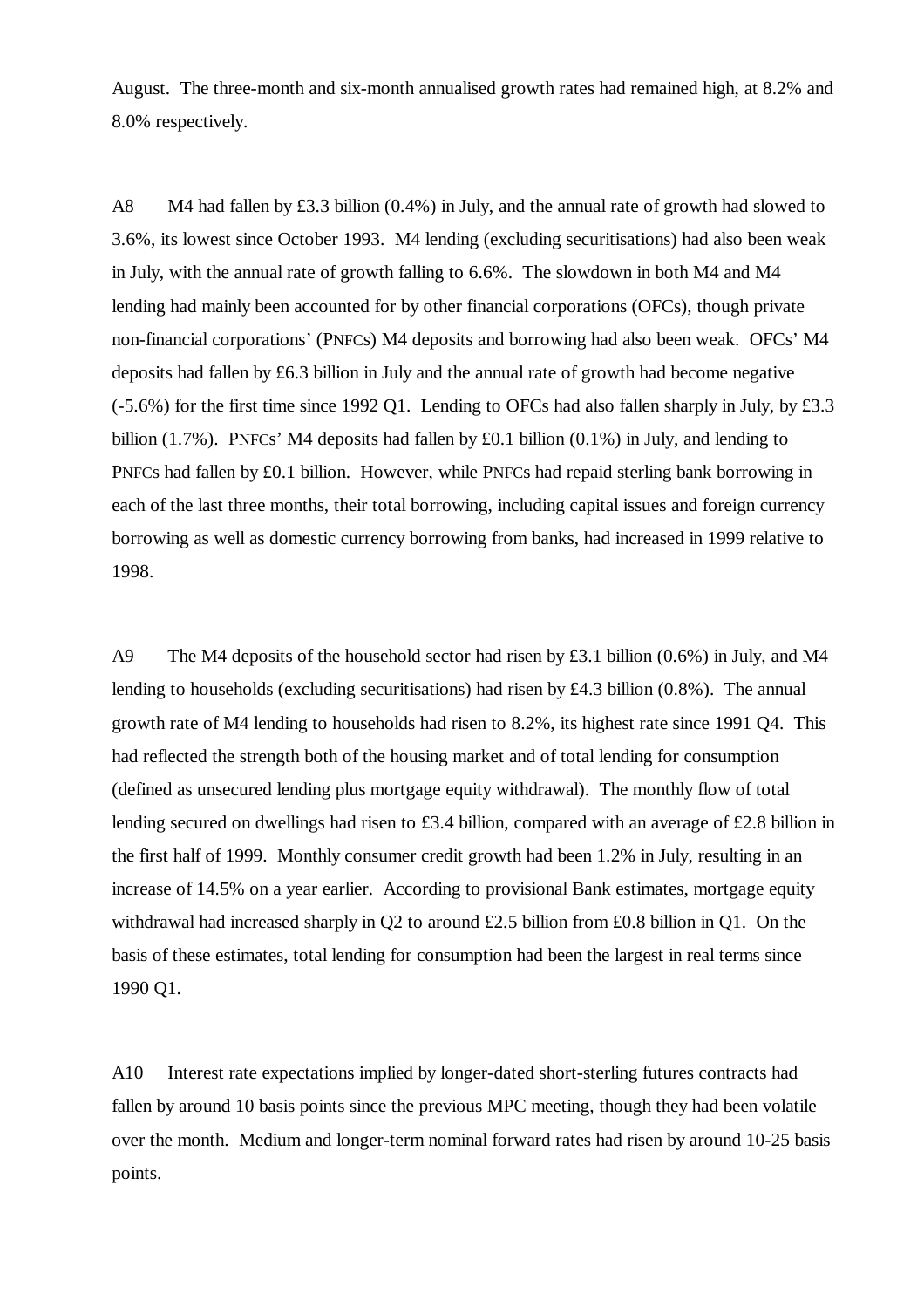August. The three-month and six-month annualised growth rates had remained high, at 8.2% and 8.0% respectively.

A8 M4 had fallen by £3.3 billion (0.4%) in July, and the annual rate of growth had slowed to 3.6%, its lowest since October 1993. M4 lending (excluding securitisations) had also been weak in July, with the annual rate of growth falling to 6.6%. The slowdown in both M4 and M4 lending had mainly been accounted for by other financial corporations (OFCs), though private non-financial corporations' (PNFCs) M4 deposits and borrowing had also been weak. OFCs' M4 deposits had fallen by £6.3 billion in July and the annual rate of growth had become negative (-5.6%) for the first time since 1992 Q1. Lending to OFCs had also fallen sharply in July, by £3.3 billion (1.7%). PNFCs' M4 deposits had fallen by £0.1 billion (0.1%) in July, and lending to PNFCs had fallen by £0.1 billion. However, while PNFCs had repaid sterling bank borrowing in each of the last three months, their total borrowing, including capital issues and foreign currency borrowing as well as domestic currency borrowing from banks, had increased in 1999 relative to 1998.

A9 The M4 deposits of the household sector had risen by £3.1 billion (0.6%) in July, and M4 lending to households (excluding securitisations) had risen by £4.3 billion  $(0.8\%)$ . The annual growth rate of M4 lending to households had risen to 8.2%, its highest rate since 1991 Q4. This had reflected the strength both of the housing market and of total lending for consumption (defined as unsecured lending plus mortgage equity withdrawal). The monthly flow of total lending secured on dwellings had risen to £3.4 billion, compared with an average of £2.8 billion in the first half of 1999. Monthly consumer credit growth had been 1.2% in July, resulting in an increase of 14.5% on a year earlier. According to provisional Bank estimates, mortgage equity withdrawal had increased sharply in Q2 to around £2.5 billion from £0.8 billion in Q1. On the basis of these estimates, total lending for consumption had been the largest in real terms since 1990 Q1.

A10 Interest rate expectations implied by longer-dated short-sterling futures contracts had fallen by around 10 basis points since the previous MPC meeting, though they had been volatile over the month. Medium and longer-term nominal forward rates had risen by around 10-25 basis points.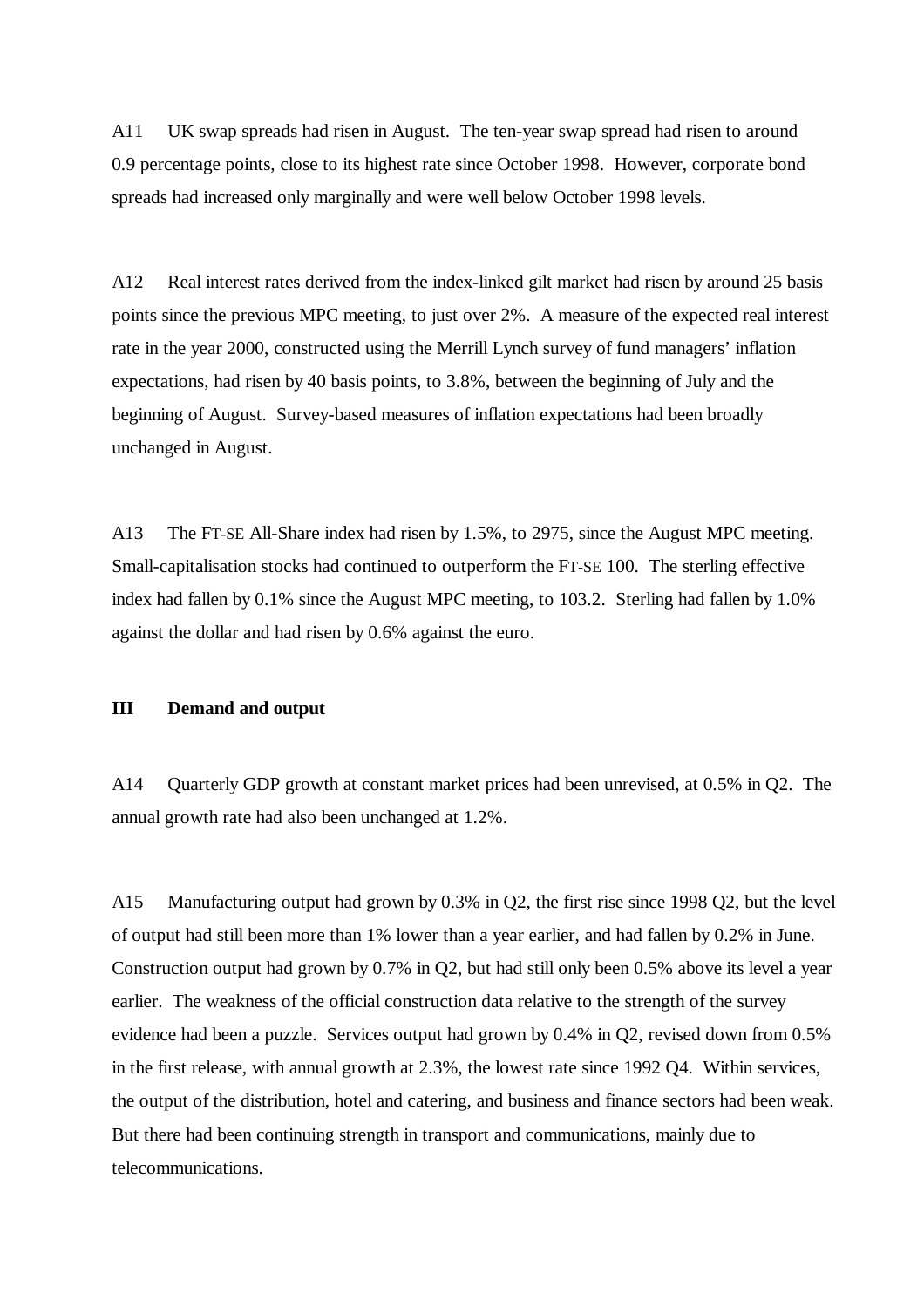A11 UK swap spreads had risen in August. The ten-year swap spread had risen to around 0.9 percentage points, close to its highest rate since October 1998. However, corporate bond spreads had increased only marginally and were well below October 1998 levels.

A12 Real interest rates derived from the index-linked gilt market had risen by around 25 basis points since the previous MPC meeting, to just over 2%. A measure of the expected real interest rate in the year 2000, constructed using the Merrill Lynch survey of fund managers' inflation expectations, had risen by 40 basis points, to 3.8%, between the beginning of July and the beginning of August. Survey-based measures of inflation expectations had been broadly unchanged in August.

A13 The FT-SE All-Share index had risen by 1.5%, to 2975, since the August MPC meeting. Small-capitalisation stocks had continued to outperform the FT-SE 100. The sterling effective index had fallen by 0.1% since the August MPC meeting, to 103.2. Sterling had fallen by 1.0% against the dollar and had risen by 0.6% against the euro.

## **III Demand and output**

A14 Quarterly GDP growth at constant market prices had been unrevised, at 0.5% in Q2. The annual growth rate had also been unchanged at 1.2%.

A15 Manufacturing output had grown by 0.3% in Q2, the first rise since 1998 Q2, but the level of output had still been more than 1% lower than a year earlier, and had fallen by 0.2% in June. Construction output had grown by 0.7% in Q2, but had still only been 0.5% above its level a year earlier. The weakness of the official construction data relative to the strength of the survey evidence had been a puzzle. Services output had grown by 0.4% in Q2, revised down from 0.5% in the first release, with annual growth at 2.3%, the lowest rate since 1992 Q4. Within services, the output of the distribution, hotel and catering, and business and finance sectors had been weak. But there had been continuing strength in transport and communications, mainly due to telecommunications.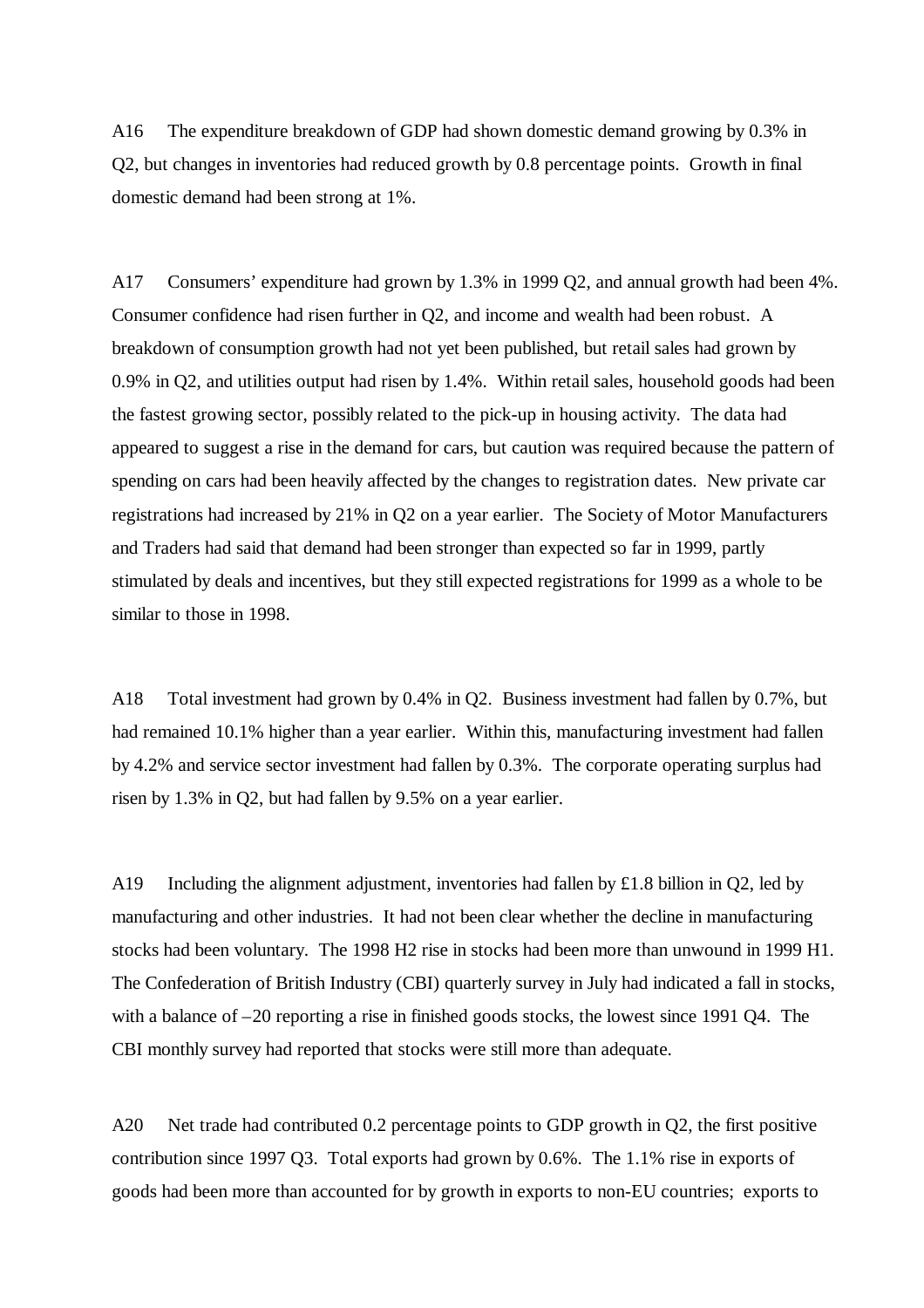A16 The expenditure breakdown of GDP had shown domestic demand growing by 0.3% in Q2, but changes in inventories had reduced growth by 0.8 percentage points. Growth in final domestic demand had been strong at 1%.

A17 Consumers' expenditure had grown by 1.3% in 1999 Q2, and annual growth had been 4%. Consumer confidence had risen further in Q2, and income and wealth had been robust. A breakdown of consumption growth had not yet been published, but retail sales had grown by 0.9% in Q2, and utilities output had risen by 1.4%. Within retail sales, household goods had been the fastest growing sector, possibly related to the pick-up in housing activity. The data had appeared to suggest a rise in the demand for cars, but caution was required because the pattern of spending on cars had been heavily affected by the changes to registration dates. New private car registrations had increased by 21% in Q2 on a year earlier. The Society of Motor Manufacturers and Traders had said that demand had been stronger than expected so far in 1999, partly stimulated by deals and incentives, but they still expected registrations for 1999 as a whole to be similar to those in 1998.

A18 Total investment had grown by 0.4% in Q2. Business investment had fallen by 0.7%, but had remained 10.1% higher than a year earlier. Within this, manufacturing investment had fallen by 4.2% and service sector investment had fallen by 0.3%. The corporate operating surplus had risen by 1.3% in Q2, but had fallen by 9.5% on a year earlier.

A19 Including the alignment adjustment, inventories had fallen by £1.8 billion in Q2, led by manufacturing and other industries. It had not been clear whether the decline in manufacturing stocks had been voluntary. The 1998 H2 rise in stocks had been more than unwound in 1999 H1. The Confederation of British Industry (CBI) quarterly survey in July had indicated a fall in stocks, with a balance of –20 reporting a rise in finished goods stocks, the lowest since 1991 Q4. The CBI monthly survey had reported that stocks were still more than adequate.

A20 Net trade had contributed 0.2 percentage points to GDP growth in Q2, the first positive contribution since 1997 Q3. Total exports had grown by 0.6%. The 1.1% rise in exports of goods had been more than accounted for by growth in exports to non-EU countries; exports to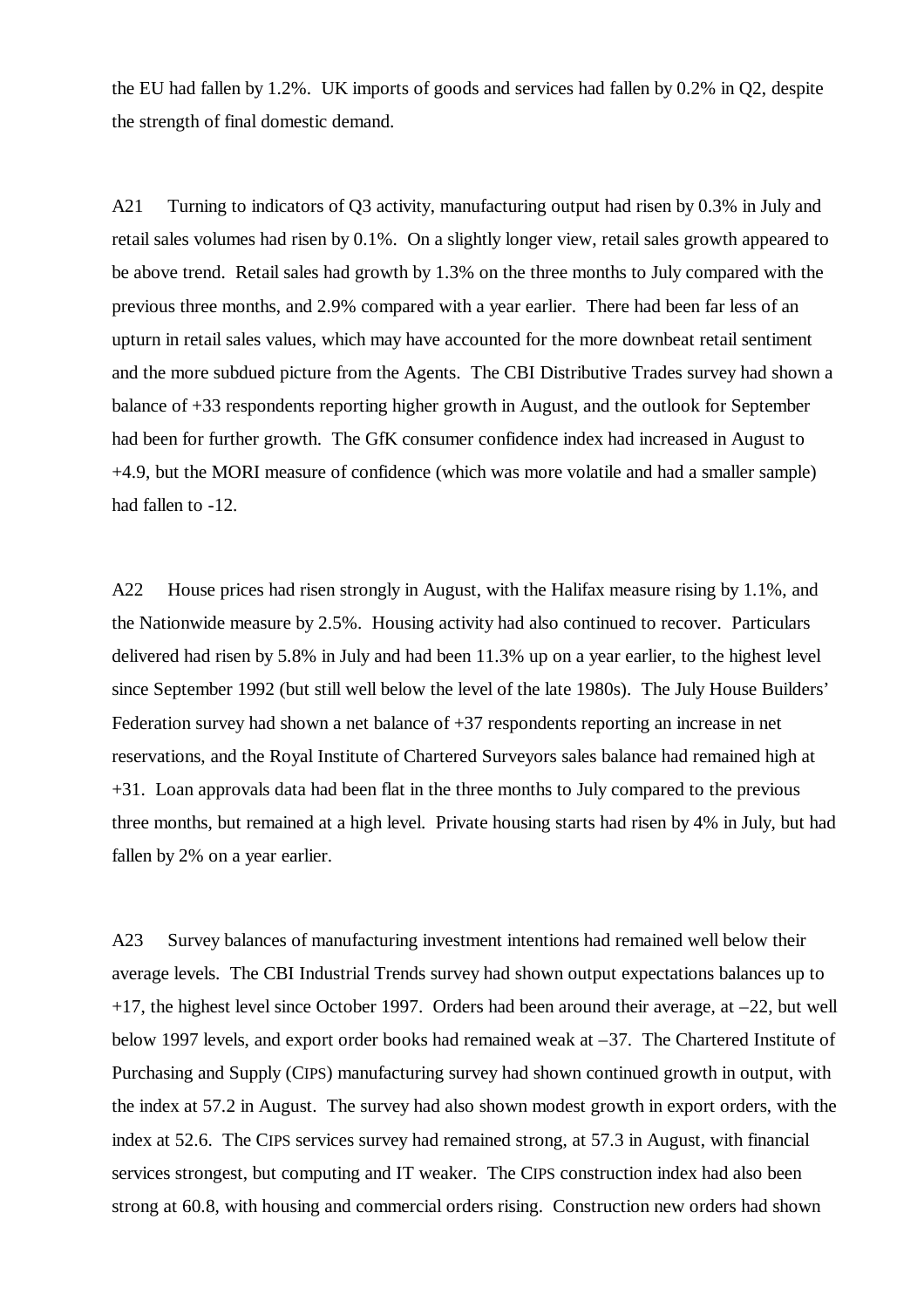the EU had fallen by 1.2%. UK imports of goods and services had fallen by 0.2% in Q2, despite the strength of final domestic demand.

A21 Turning to indicators of Q3 activity, manufacturing output had risen by 0.3% in July and retail sales volumes had risen by 0.1%. On a slightly longer view, retail sales growth appeared to be above trend. Retail sales had growth by 1.3% on the three months to July compared with the previous three months, and 2.9% compared with a year earlier. There had been far less of an upturn in retail sales values, which may have accounted for the more downbeat retail sentiment and the more subdued picture from the Agents. The CBI Distributive Trades survey had shown a balance of +33 respondents reporting higher growth in August, and the outlook for September had been for further growth. The GfK consumer confidence index had increased in August to +4.9, but the MORI measure of confidence (which was more volatile and had a smaller sample) had fallen to -12.

A22 House prices had risen strongly in August, with the Halifax measure rising by 1.1%, and the Nationwide measure by 2.5%. Housing activity had also continued to recover. Particulars delivered had risen by 5.8% in July and had been 11.3% up on a year earlier, to the highest level since September 1992 (but still well below the level of the late 1980s). The July House Builders' Federation survey had shown a net balance of +37 respondents reporting an increase in net reservations, and the Royal Institute of Chartered Surveyors sales balance had remained high at +31. Loan approvals data had been flat in the three months to July compared to the previous three months, but remained at a high level. Private housing starts had risen by 4% in July, but had fallen by 2% on a year earlier.

A23 Survey balances of manufacturing investment intentions had remained well below their average levels. The CBI Industrial Trends survey had shown output expectations balances up to  $+17$ , the highest level since October 1997. Orders had been around their average, at  $-22$ , but well below 1997 levels, and export order books had remained weak at –37. The Chartered Institute of Purchasing and Supply (CIPS) manufacturing survey had shown continued growth in output, with the index at 57.2 in August. The survey had also shown modest growth in export orders, with the index at 52.6. The CIPS services survey had remained strong, at 57.3 in August, with financial services strongest, but computing and IT weaker. The CIPS construction index had also been strong at 60.8, with housing and commercial orders rising. Construction new orders had shown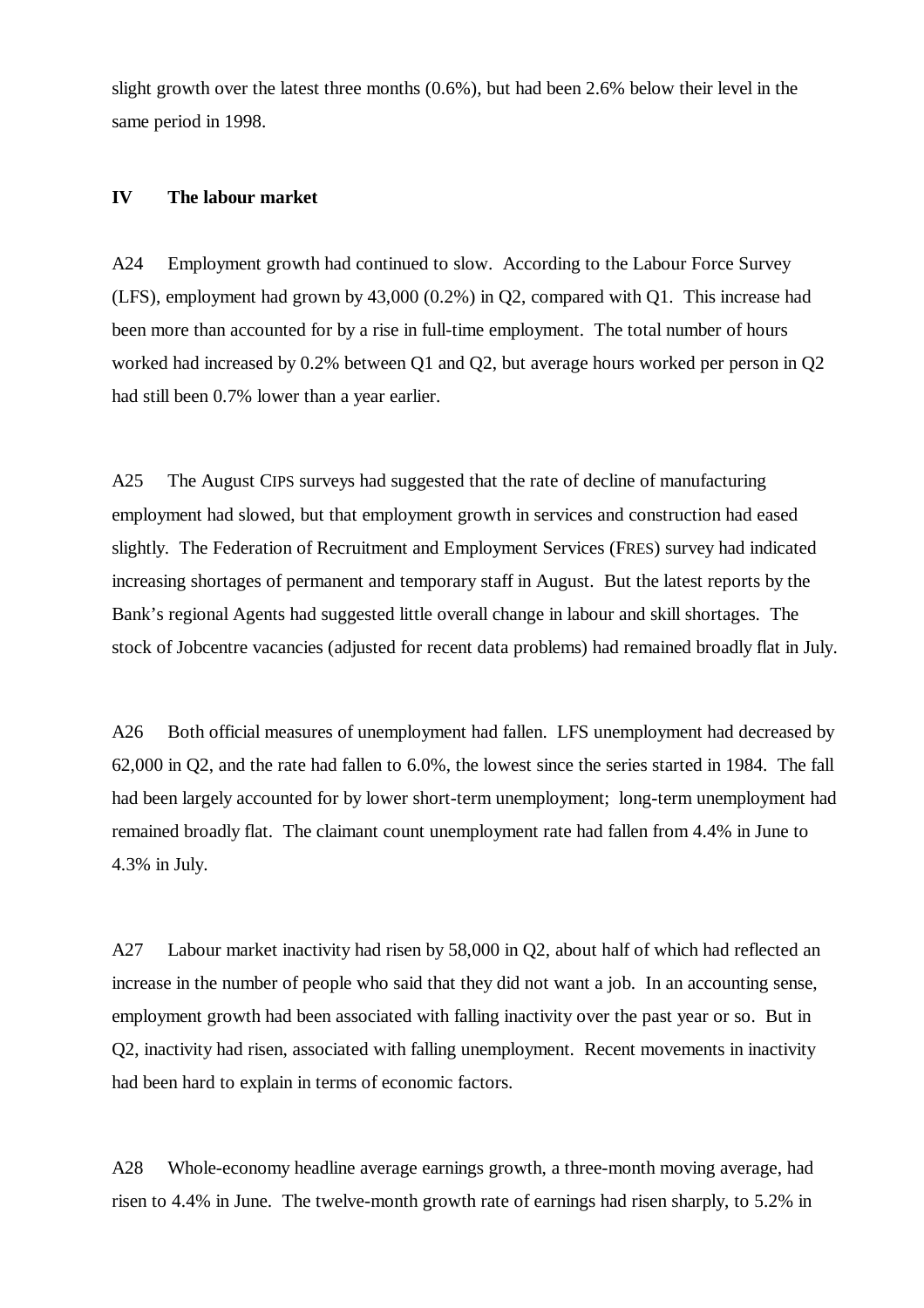slight growth over the latest three months (0.6%), but had been 2.6% below their level in the same period in 1998.

#### **IV The labour market**

A24 Employment growth had continued to slow. According to the Labour Force Survey (LFS), employment had grown by 43,000 (0.2%) in Q2, compared with Q1. This increase had been more than accounted for by a rise in full-time employment. The total number of hours worked had increased by 0.2% between Q1 and Q2, but average hours worked per person in Q2 had still been 0.7% lower than a year earlier.

A25 The August CIPS surveys had suggested that the rate of decline of manufacturing employment had slowed, but that employment growth in services and construction had eased slightly. The Federation of Recruitment and Employment Services (FRES) survey had indicated increasing shortages of permanent and temporary staff in August. But the latest reports by the Bank's regional Agents had suggested little overall change in labour and skill shortages. The stock of Jobcentre vacancies (adjusted for recent data problems) had remained broadly flat in July.

A26 Both official measures of unemployment had fallen. LFS unemployment had decreased by 62,000 in Q2, and the rate had fallen to 6.0%, the lowest since the series started in 1984. The fall had been largely accounted for by lower short-term unemployment; long-term unemployment had remained broadly flat. The claimant count unemployment rate had fallen from 4.4% in June to 4.3% in July.

A27 Labour market inactivity had risen by 58,000 in Q2, about half of which had reflected an increase in the number of people who said that they did not want a job. In an accounting sense, employment growth had been associated with falling inactivity over the past year or so. But in Q2, inactivity had risen, associated with falling unemployment. Recent movements in inactivity had been hard to explain in terms of economic factors.

A28 Whole-economy headline average earnings growth, a three-month moving average, had risen to 4.4% in June. The twelve-month growth rate of earnings had risen sharply, to 5.2% in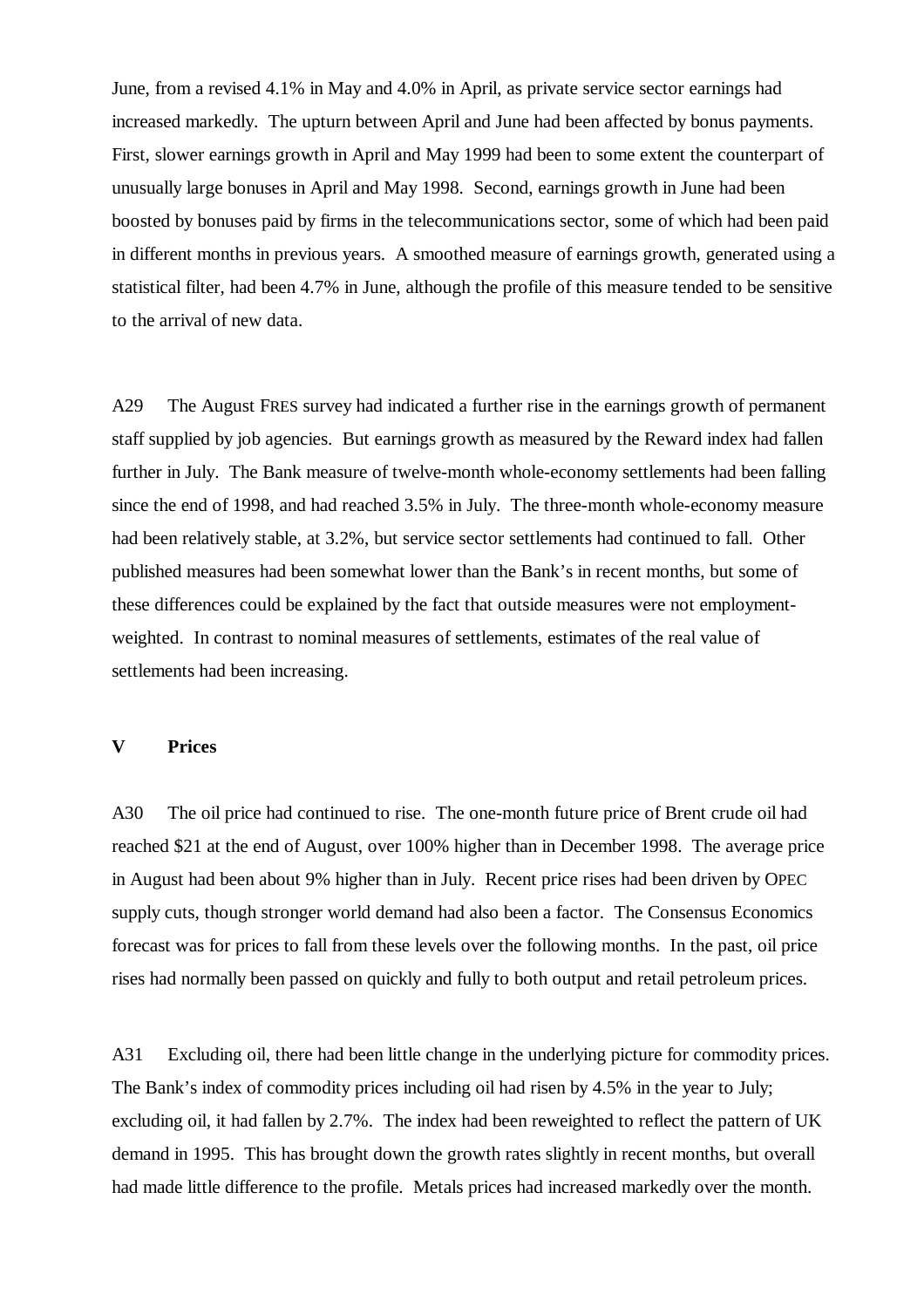June, from a revised 4.1% in May and 4.0% in April, as private service sector earnings had increased markedly. The upturn between April and June had been affected by bonus payments. First, slower earnings growth in April and May 1999 had been to some extent the counterpart of unusually large bonuses in April and May 1998. Second, earnings growth in June had been boosted by bonuses paid by firms in the telecommunications sector, some of which had been paid in different months in previous years. A smoothed measure of earnings growth, generated using a statistical filter, had been 4.7% in June, although the profile of this measure tended to be sensitive to the arrival of new data.

A29 The August FRES survey had indicated a further rise in the earnings growth of permanent staff supplied by job agencies. But earnings growth as measured by the Reward index had fallen further in July. The Bank measure of twelve-month whole-economy settlements had been falling since the end of 1998, and had reached 3.5% in July. The three-month whole-economy measure had been relatively stable, at 3.2%, but service sector settlements had continued to fall. Other published measures had been somewhat lower than the Bank's in recent months, but some of these differences could be explained by the fact that outside measures were not employmentweighted. In contrast to nominal measures of settlements, estimates of the real value of settlements had been increasing.

#### **V Prices**

A30 The oil price had continued to rise. The one-month future price of Brent crude oil had reached \$21 at the end of August, over 100% higher than in December 1998. The average price in August had been about 9% higher than in July. Recent price rises had been driven by OPEC supply cuts, though stronger world demand had also been a factor. The Consensus Economics forecast was for prices to fall from these levels over the following months. In the past, oil price rises had normally been passed on quickly and fully to both output and retail petroleum prices.

A31 Excluding oil, there had been little change in the underlying picture for commodity prices. The Bank's index of commodity prices including oil had risen by 4.5% in the year to July; excluding oil, it had fallen by 2.7%. The index had been reweighted to reflect the pattern of UK demand in 1995. This has brought down the growth rates slightly in recent months, but overall had made little difference to the profile. Metals prices had increased markedly over the month.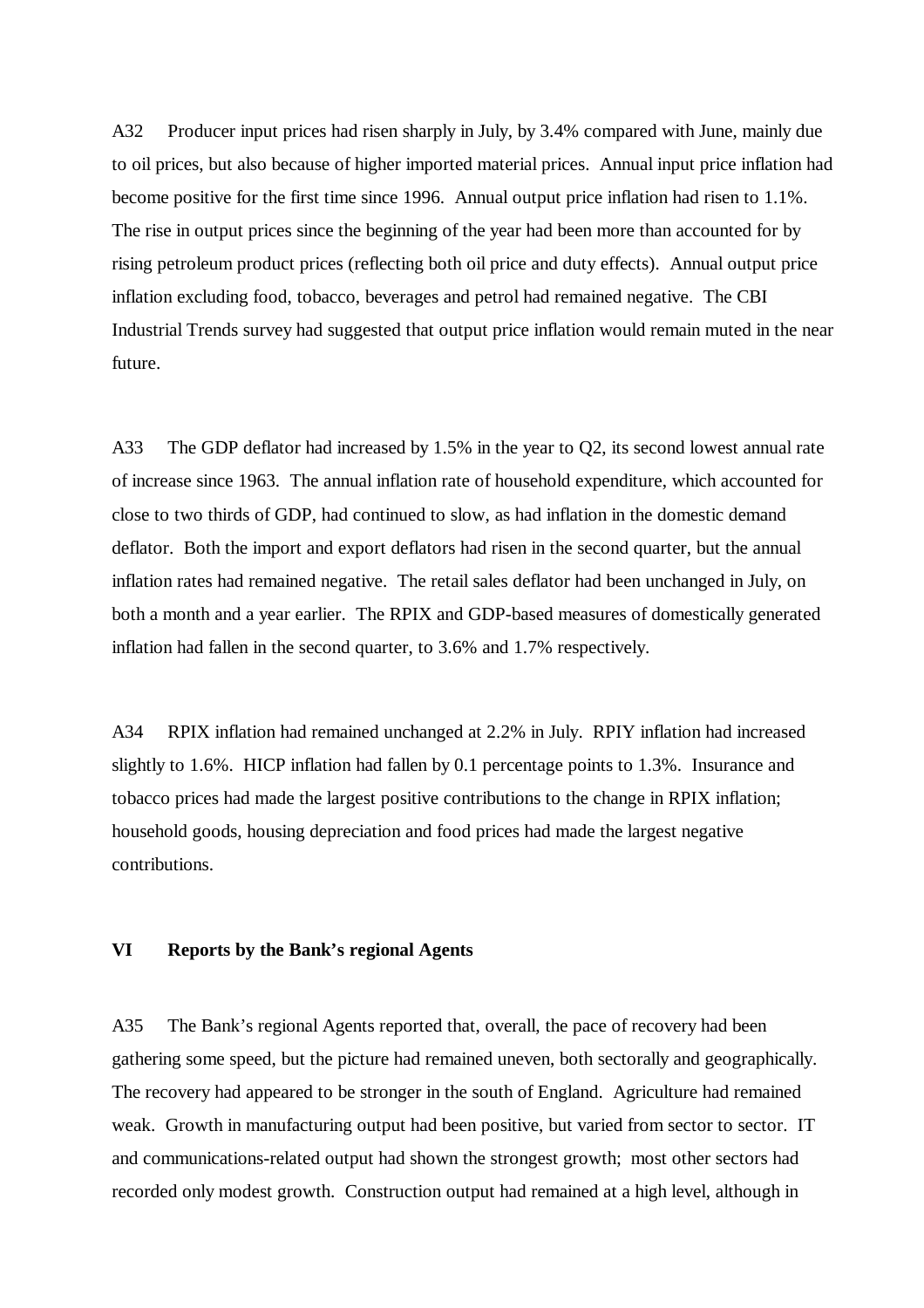A32 Producer input prices had risen sharply in July, by 3.4% compared with June, mainly due to oil prices, but also because of higher imported material prices. Annual input price inflation had become positive for the first time since 1996. Annual output price inflation had risen to 1.1%. The rise in output prices since the beginning of the year had been more than accounted for by rising petroleum product prices (reflecting both oil price and duty effects). Annual output price inflation excluding food, tobacco, beverages and petrol had remained negative. The CBI Industrial Trends survey had suggested that output price inflation would remain muted in the near future.

A33 The GDP deflator had increased by 1.5% in the year to Q2, its second lowest annual rate of increase since 1963. The annual inflation rate of household expenditure, which accounted for close to two thirds of GDP, had continued to slow, as had inflation in the domestic demand deflator. Both the import and export deflators had risen in the second quarter, but the annual inflation rates had remained negative. The retail sales deflator had been unchanged in July, on both a month and a year earlier. The RPIX and GDP-based measures of domestically generated inflation had fallen in the second quarter, to 3.6% and 1.7% respectively.

A34 RPIX inflation had remained unchanged at 2.2% in July. RPIY inflation had increased slightly to 1.6%. HICP inflation had fallen by 0.1 percentage points to 1.3%. Insurance and tobacco prices had made the largest positive contributions to the change in RPIX inflation; household goods, housing depreciation and food prices had made the largest negative contributions.

### **VI Reports by the Bank's regional Agents**

A35 The Bank's regional Agents reported that, overall, the pace of recovery had been gathering some speed, but the picture had remained uneven, both sectorally and geographically. The recovery had appeared to be stronger in the south of England. Agriculture had remained weak. Growth in manufacturing output had been positive, but varied from sector to sector. IT and communications-related output had shown the strongest growth; most other sectors had recorded only modest growth. Construction output had remained at a high level, although in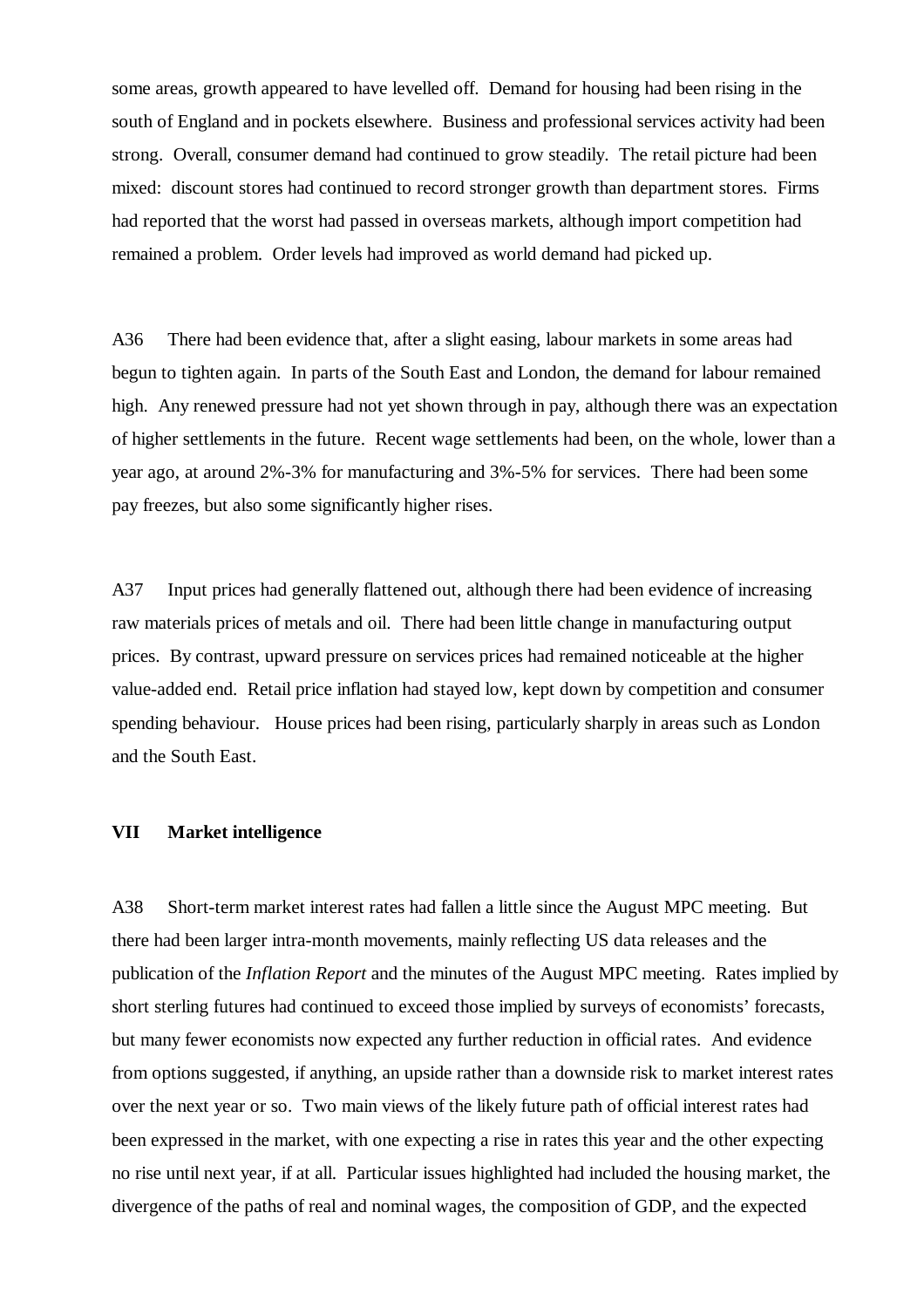some areas, growth appeared to have levelled off. Demand for housing had been rising in the south of England and in pockets elsewhere. Business and professional services activity had been strong. Overall, consumer demand had continued to grow steadily. The retail picture had been mixed: discount stores had continued to record stronger growth than department stores. Firms had reported that the worst had passed in overseas markets, although import competition had remained a problem. Order levels had improved as world demand had picked up.

A36 There had been evidence that, after a slight easing, labour markets in some areas had begun to tighten again. In parts of the South East and London, the demand for labour remained high. Any renewed pressure had not yet shown through in pay, although there was an expectation of higher settlements in the future. Recent wage settlements had been, on the whole, lower than a year ago, at around 2%-3% for manufacturing and 3%-5% for services. There had been some pay freezes, but also some significantly higher rises.

A37 Input prices had generally flattened out, although there had been evidence of increasing raw materials prices of metals and oil. There had been little change in manufacturing output prices. By contrast, upward pressure on services prices had remained noticeable at the higher value-added end. Retail price inflation had stayed low, kept down by competition and consumer spending behaviour. House prices had been rising, particularly sharply in areas such as London and the South East.

#### **VII Market intelligence**

A38 Short-term market interest rates had fallen a little since the August MPC meeting. But there had been larger intra-month movements, mainly reflecting US data releases and the publication of the *Inflation Report* and the minutes of the August MPC meeting. Rates implied by short sterling futures had continued to exceed those implied by surveys of economists' forecasts, but many fewer economists now expected any further reduction in official rates. And evidence from options suggested, if anything, an upside rather than a downside risk to market interest rates over the next year or so. Two main views of the likely future path of official interest rates had been expressed in the market, with one expecting a rise in rates this year and the other expecting no rise until next year, if at all. Particular issues highlighted had included the housing market, the divergence of the paths of real and nominal wages, the composition of GDP, and the expected